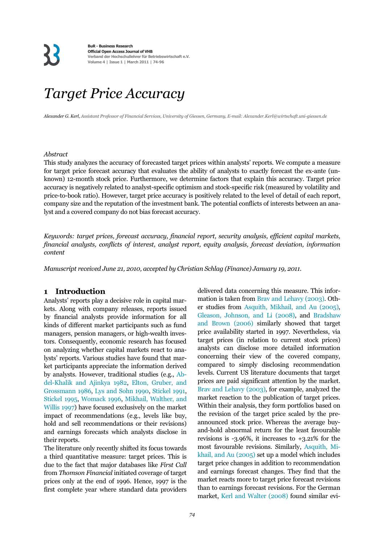### *Target Price Accuracy*

*Alexander G. Kerl, Assistant Professor of Financial Services, University of Giessen, Germany, E-mail: Alexander.Kerl@wirtschaft.uni-giessen.de*

#### *Abstract*

This study analyzes the accuracy of forecasted target prices within analysts' reports. We compute a measure for target price forecast accuracy that evaluates the ability of analysts to exactly forecast the ex-ante (unknown) 12-month stock price. Furthermore, we determine factors that explain this accuracy. Target price accuracy is negatively related to analyst-specific optimism and stock-specific risk (measured by volatility and price-to-book ratio). However, target price accuracy is positively related to the level of detail of each report, company size and the reputation of the investment bank. The potential conflicts of interests between an analyst and a covered company do not bias forecast accuracy.

*Keywords: target prices, forecast accuracy, financial report, security analysis, efficient capital markets, financial analysts, conflicts of interest, analyst report, equity analysis, forecast deviation, information content* 

*Manuscript received June 21, 2010, accepted by Christian Schlag (Finance) January 19, 2011.* 

#### **1 Introduction**

Analysts' reports play a decisive role in capital markets. Along with company releases, reports issued by financial analysts provide information for all kinds of different market participants such as fund managers, pension managers, or high-wealth investors. Consequently, economic research has focused on analyzing whether capital markets react to analysts' reports. Various studies have found that market participants appreciate the information derived by analysts. However, traditional studies (e.g., Abdel-Khalik and Ajinkya 1982, Elton, Gruber, and Grossmann 1986, Lys and Sohn 1990, Stickel 1991, Stickel 1995, Womack 1996, Mikhail, Walther, and Willis 1997) have focused exclusively on the market impact of recommendations (e.g., levels like buy, hold and sell recommendations or their revisions) and earnings forecasts which analysts disclose in their reports.

The literature only recently shifted its focus towards a third quantitative measure: target prices. This is due to the fact that major databases like *First Call* from *Thomson Financial* initiated coverage of target prices only at the end of 1996. Hence, 1997 is the first complete year where standard data providers delivered data concerning this measure. This information is taken from Brav and Lehavy (2003). Other studies from Asquith, Mikhail, and Au (2005), Gleason, Johnson, and Li (2008), and Bradshaw and Brown (2006) similarly showed that target price availability started in 1997. Nevertheless, via target prices (in relation to current stock prices) analysts can disclose more detailed information concerning their view of the covered company, compared to simply disclosing recommendation levels. Current US literature documents that target prices are paid significant attention by the market. Brav and Lehavy (2003), for example, analyzed the market reaction to the publication of target prices. Within their analysis, they form portfolios based on the revision of the target price scaled by the preannounced stock price. Whereas the average buyand-hold abnormal return for the least favourable revisions is -3.96%, it increases to +3.21% for the most favourable revisions. Similarly, Asquith, Mikhail, and Au (2005) set up a model which includes target price changes in addition to recommendation and earnings forecast changes. They find that the market reacts more to target price forecast revisions than to earnings forecast revisions. For the German market, Kerl and Walter (2008) found similar evi-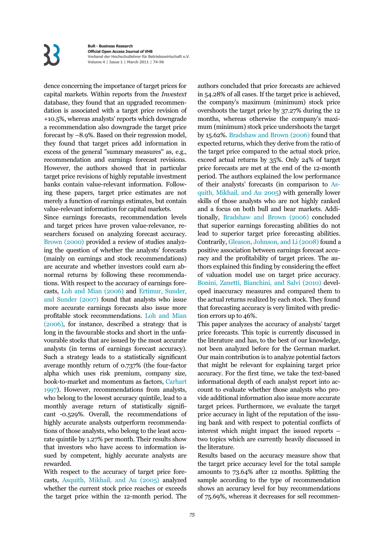# $\mathbf{K}$

**BuR - Business Research Official Open Access Journal of VHB Verband der Hochschullehrer für Betriebswirtschaft e.V. Volume 4 | Issue 1 | March 2011 | 7-9**

dence concerning the importance of target prices for capital markets. Within reports from the *Investext* database, they found that an upgraded recommendation is associated with a target price revision of +10.5%, whereas analysts' reports which downgrade a recommendation also downgrade the target price forecast by –8.9%. Based on their regression model, they found that target prices add information in excess of the general "summary measures" as, e.g., recommendation and earnings forecast revisions. However, the authors showed that in particular target price revisions of highly reputable investment banks contain value-relevant information. Following these papers, target price estimates are not merely a function of earnings estimates, but contain value-relevant information for capital markets.

Since earnings forecasts, recommendation levels and target prices have proven value-relevance, researchers focused on analyzing forecast accuracy. Brown (2000) provided a review of studies analyzing the question of whether the analysts' forecasts (mainly on earnings and stock recommendations) are accurate and whether investors could earn abnormal returns by following these recommendations. With respect to the accuracy of earnings forecasts, Loh and Mian (2006) and Ertimur, Sunder, and Sunder (2007) found that analysts who issue more accurate earnings forecasts also issue more profitable stock recommendations. Loh and Mian (2006), for instance, described a strategy that is long in the favourable stocks and short in the unfavourable stocks that are issued by the most accurate analysts (in terms of earnings forecast accuracy). Such a strategy leads to a statistically significant average monthly return of 0.737% (the four-factor alpha which uses risk premium, company size, book-to-market and momentum as factors, Carhart 1997). However, recommendations from analysts, who belong to the lowest accuracy quintile, lead to a monthly average return of statistically significant -0.529%. Overall, the recommendations of highly accurate analysts outperform recommendations of those analysts, who belong to the least accurate quintile by 1.27% per month. Their results show that investors who have access to information issued by competent, highly accurate analysts are rewarded.

With respect to the accuracy of target price forecasts, Asquith, Mikhail, and Au (2005) analyzed whether the current stock price reaches or exceeds the target price within the 12-month period. The authors concluded that price forecasts are achieved in 54.28% of all cases. If the target price is achieved, the company's maximum (minimum) stock price overshoots the target price by 37.27% during the 12 months, whereas otherwise the company's maximum (minimum) stock price undershoots the target by 15.62%. Bradshaw and Brown (2006) found that expected returns, which they derive from the ratio of the target price compared to the actual stock price, exceed actual returns by 35%. Only 24% of target price forecasts are met at the end of the 12-month period. The authors explained the low performance of their analysts' forecasts (in comparison to Asquith, Mikhail, and Au 2005) with generally lower skills of those analysts who are not highly ranked and a focus on both bull and bear markets. Additionally, Bradshaw and Brown (2006) concluded that superior earnings forecasting abilities do not lead to superior target price forecasting abilities. Contrarily, Gleason, Johnson, and Li (2008) found a positive association between earnings forecast accuracy and the profitability of target prices. The authors explained this finding by considering the effect of valuation model use on target price accuracy. Bonini, Zanetti, Bianchini, and Salvi (2010) developed inaccuracy measures and compared them to the actual returns realized by each stock. They found that forecasting accuracy is very limited with prediction errors up to 46%.

This paper analyzes the accuracy of analysts' target price forecasts. This topic is currently discussed in the literature and has, to the best of our knowledge, not been analyzed before for the German market. Our main contribution is to analyze potential factors that might be relevant for explaining target price accuracy. For the first time, we take the text-based informational depth of each analyst report into account to evaluate whether those analysts who provide additional information also issue more accurate target prices. Furthermore, we evaluate the target price accuracy in light of the reputation of the issuing bank and with respect to potential conflicts of interest which might impact the issued reports – two topics which are currently heavily discussed in the literature.

Results based on the accuracy measure show that the target price accuracy level for the total sample amounts to 73.64% after 12 months. Splitting the sample according to the type of recommendation shows an accuracy level for buy recommendations of 75.69%, whereas it decreases for sell recommen-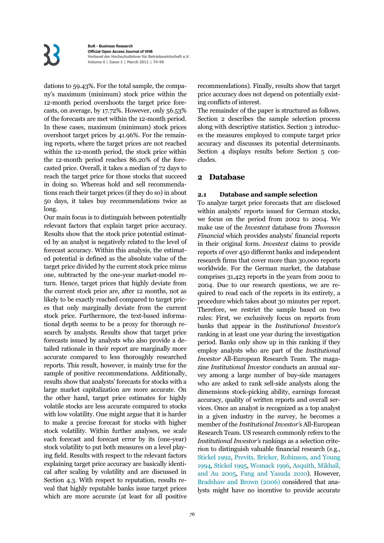dations to 59.43%. For the total sample, the company's maximum (minimum) stock price within the 12-month period overshoots the target price forecasts, on average, by 17.72%. However, only 56.53% of the forecasts are met within the 12-month period. In these cases, maximum (minimum) stock prices overshoot target prices by 41.96%. For the remaining reports, where the target prices are not reached within the 12-month period, the stock price within the 12-month period reaches 86.20% of the forecasted price. Overall, it takes a median of 72 days to reach the target price for those stocks that succeed in doing so. Whereas hold and sell recommendations reach their target prices (if they do so) in about 50 days, it takes buy recommendations twice as long.

Our main focus is to distinguish between potentially relevant factors that explain target price accuracy. Results show that the stock price potential estimated by an analyst is negatively related to the level of forecast accuracy. Within this analysis, the estimated potential is defined as the absolute value of the target price divided by the current stock price minus one, subtracted by the one-year market-model return. Hence, target prices that highly deviate from the current stock price are, after 12 months, not as likely to be exactly reached compared to target prices that only marginally deviate from the current stock price. Furthermore, the text-based informational depth seems to be a proxy for thorough research by analysts. Results show that target price forecasts issued by analysts who also provide a detailed rationale in their report are marginally more accurate compared to less thoroughly researched reports. This result, however, is mainly true for the sample of positive recommendations. Additionally, results show that analysts' forecasts for stocks with a large market capitalization are more accurate. On the other hand, target price estimates for highly volatile stocks are less accurate compared to stocks with low volatility. One might argue that it is harder to make a precise forecast for stocks with higher stock volatility. Within further analyses, we scale each forecast and forecast error by its (one-year) stock volatility to put both measures on a level playing field. Results with respect to the relevant factors explaining target price accuracy are basically identical after scaling by volatility and are discussed in Section 4.3. With respect to reputation, results reveal that highly reputable banks issue target prices which are more accurate (at least for all positive recommendations). Finally, results show that target price accuracy does not depend on potentially existing conflicts of interest.

The remainder of the paper is structured as follows. Section 2 describes the sample selection process along with descriptive statistics. Section 3 introduces the measures employed to compute target price accuracy and discusses its potential determinants. Section 4 displays results before Section 5 concludes.

#### **2 Database**

#### **2.1 Database and sample selection**

To analyze target price forecasts that are disclosed within analysts' reports issued for German stocks, we focus on the period from 2002 to 2004. We make use of the *Investext* database from *Thomson Financial* which provides analysts' financial reports in their original form. *Investext* claims to provide reports of over 450 different banks and independent research firms that cover more than 30,000 reports worldwide. For the German market, the database comprises 31,423 reports in the years from 2002 to 2004. Due to our research questions, we are required to read each of the reports in its entirety, a procedure which takes about 30 minutes per report. Therefore, we restrict the sample based on two rules: First, we exclusively focus on reports from banks that appear in the *Institutional Investor's* ranking in at least one year during the investigation period. Banks only show up in this ranking if they employ analysts who are part of the *Institutional Investor* All-European Research Team. The magazine *Institutional Investor* conducts an annual survey among a large number of buy-side managers who are asked to rank sell-side analysts along the dimensions stock-picking ability, earnings forecast accuracy, quality of written reports and overall services. Once an analyst is recognized as a top analyst in a given industry in the survey, he becomes a member of the *Institutional Investor's* All-European Research Team. US research commonly refers to the *Institutional Investor's* rankings as a selection criterion to distinguish valuable financial research (e.g., Stickel 1992, Previts, Bricker, Robinson, and Young 1994, Stickel 1995, Womack 1996, Asquith, Mikhail, and Au 2005, Fang and Yasuda 2010). However, Bradshaw and Brown (2006) considered that analysts might have no incentive to provide accurate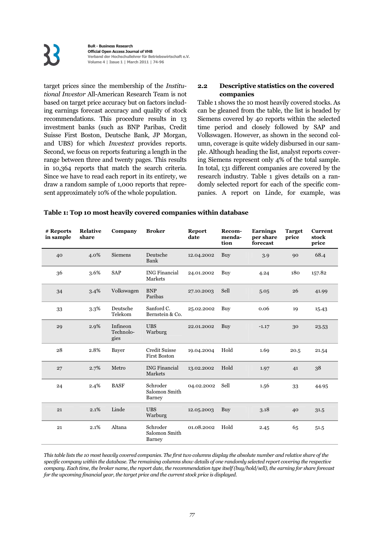target prices since the membership of the *Institutional Investor* All-American Research Team is not based on target price accuracy but on factors including earnings forecast accuracy and quality of stock recommendations. This procedure results in 13 investment banks (such as BNP Paribas, Credit Suisse First Boston, Deutsche Bank, JP Morgan, and UBS) for which *Investext* provides reports. Second, we focus on reports featuring a length in the range between three and twenty pages. This results in 10,364 reports that match the search criteria. Since we have to read each report in its entirety, we draw a random sample of 1,000 reports that represent approximately 10% of the whole population.

#### **2.2 Descriptive statistics on the covered companies**

Table 1 shows the 10 most heavily covered stocks. As can be gleaned from the table, the list is headed by Siemens covered by 40 reports within the selected time period and closely followed by SAP and Volkswagen. However, as shown in the second column, coverage is quite widely disbursed in our sample. Although heading the list, analyst reports covering Siemens represent only 4% of the total sample. In total, 131 different companies are covered by the research industry. Table 1 gives details on a randomly selected report for each of the specific companies. A report on Linde, for example, was

#### **Table 1: Top 10 most heavily covered companies within database**

| # Reports<br>in sample | <b>Relative</b><br>share | Company                       | <b>Broker</b>                               | <b>Report</b><br>date | Recom-<br>menda-<br>tion | <b>Earnings</b><br>per share<br>forecast | <b>Target</b><br>price | <b>Current</b><br>stock<br>price |
|------------------------|--------------------------|-------------------------------|---------------------------------------------|-----------------------|--------------------------|------------------------------------------|------------------------|----------------------------------|
| 40                     | 4.0%                     | <b>Siemens</b>                | Deutsche<br>Bank                            | 12.04.2002            | Buy                      | 3.9                                      | 90                     | 68.4                             |
| 36                     | 3.6%                     | <b>SAP</b>                    | <b>ING Financial</b><br>Markets             | 24.01.2002            | Buy                      | 4.24                                     | 180                    | 157.82                           |
| 34                     | 3.4%                     | Volkswagen                    | <b>BNP</b><br>Paribas                       | 27.10.2003            | Sell                     | 5.05                                     | 26                     | 41.99                            |
| 33                     | $3.3\%$                  | Deutsche<br>Telekom           | Sanford C.<br>Bernstein & Co.               | 25.02.2002            | Buy                      | 0.06                                     | 19                     | 15.43                            |
| 29                     | 2.9%                     | Infineon<br>Technolo-<br>gies | <b>UBS</b><br>Warburg                       | 22.01.2002            | Buy                      | $-1.17$                                  | 30                     | 23.53                            |
| 28                     | 2.8%                     | Bayer                         | <b>Credit Suisse</b><br><b>First Boston</b> | 19.04.2004            | Hold                     | 1.69                                     | 20.5                   | 21.54                            |
| 27                     | 2.7%                     | Metro                         | <b>ING Financial</b><br><b>Markets</b>      | 13.02.2002            | Hold                     | 1.97                                     | 41                     | 38                               |
| 24                     | 2.4%                     | <b>BASF</b>                   | Schroder<br>Salomon Smith<br>Barney         | 04.02.2002            | Sell                     | 1.56                                     | 33                     | 44.95                            |
| 21                     | 2.1%                     | Linde                         | <b>UBS</b><br>Warburg                       | 12.05.2003            | Buy                      | 3.18                                     | 40                     | 31.5                             |
| 21                     | 2.1%                     | Altana                        | Schroder<br>Salomon Smith<br>Barney         | 01.08.2002            | Hold                     | 2.45                                     | 65                     | 51.5                             |

*This table lists the 10 most heavily covered companies. The first two columns display the absolute number and relative share of the specific company within the database. The remaining columns show details of one randomly selected report covering the respective company. Each time, the broker name, the report date, the recommendation type itself (buy/hold/sell), the earning for share forecast for the upcoming financial year, the target price and the current stock price is displayed.*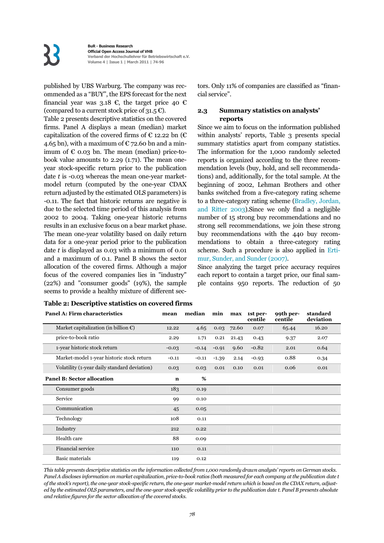published by UBS Warburg. The company was recommended as a "BUY", the EPS forecast for the next financial year was 3.18 €, the target price 40 € (compared to a current stock price of 31.5  $\varepsilon$ ).

Table 2 presents descriptive statistics on the covered firms. Panel A displays a mean (median) market capitalization of the covered firms of  $\epsilon$  12.22 bn ( $\epsilon$ 4.65 bn), with a maximum of  $\epsilon$  72.60 bn and a minimum of  $\epsilon$  0.03 bn. The mean (median) price-tobook value amounts to 2.29 (1.71). The mean oneyear stock-specific return prior to the publication date *t* is -0.03 whereas the mean one-year marketmodel return (computed by the one-year CDAX return adjusted by the estimated OLS parameters) is -0.11. The fact that historic returns are negative is due to the selected time period of this analysis from 2002 to 2004. Taking one-year historic returns results in an exclusive focus on a bear market phase. The mean one-year volatility based on daily return data for a one-year period prior to the publication date *t* is displayed as 0.03 with a minimum of 0.01 and a maximum of 0.1. Panel B shows the sector allocation of the covered firms. Although a major focus of the covered companies lies in "industry" (22%) and "consumer goods" (19%), the sample seems to provide a healthy mixture of different sectors. Only 11% of companies are classified as "financial service".

#### **2.3 Summary statistics on analysts' reports**

Since we aim to focus on the information published within analysts' reports, Table 3 presents special summary statistics apart from company statistics. The information for the 1,000 randomly selected reports is organized according to the three recommendation levels (buy, hold, and sell recommendations) and, additionally, for the total sample. At the beginning of 2002, Lehman Brothers and other banks switched from a five-category rating scheme to a three-category rating scheme (Bradley, Jordan, and Ritter 2003).Since we only find a negligible number of 15 strong buy recommendations and no strong sell recommendations, we join these strong buy recommendations with the 440 buy recommendations to obtain a three-category rating scheme. Such a procedure is also applied in Ertimur, Sunder, and Sunder (2007).

Since analyzing the target price accuracy requires each report to contain a target price, our final sample contains 950 reports. The reduction of 50

| <b>Panel A: Firm characteristics</b>             | mean        | median  | min     | max   | 1st per-<br>centile | 99th per-<br>centile | standard<br>deviation |
|--------------------------------------------------|-------------|---------|---------|-------|---------------------|----------------------|-----------------------|
| Market capitalization (in billion $\mathbb{C}$ ) | 12.22       | 4.65    | 0.03    | 72.60 | 0.07                | 65.44                | 16.20                 |
| price-to-book ratio                              | 2.29        | 1.71    | 0.21    | 21.43 | 0.43                | 9.37                 | 2.07                  |
| 1-year historic stock return                     | $-0.03$     | $-0.14$ | $-0.91$ | 9.60  | $-0.82$             | 2.01                 | 0.64                  |
| Market-model 1-year historic stock return        | $-0.11$     | $-0.11$ | $-1.39$ | 2.14  | $-0.93$             | 0.88                 | 0.34                  |
| Volatility (1-year daily standard deviation)     | 0.03        | 0.03    | 0.01    | 0.10  | 0.01                | 0.06                 | 0.01                  |
| <b>Panel B: Sector allocation</b>                | $\mathbf n$ | %       |         |       |                     |                      |                       |
| Consumer goods                                   | 183         | 0.19    |         |       |                     |                      |                       |
| Service                                          | 99          | 0.10    |         |       |                     |                      |                       |
| Communication                                    | 45          | 0.05    |         |       |                     |                      |                       |
| Technology                                       | 108         | 0.11    |         |       |                     |                      |                       |
| Industry                                         | 212         | 0.22    |         |       |                     |                      |                       |
| Health care                                      | 88          | 0.09    |         |       |                     |                      |                       |
| Financial service                                | 110         | 0.11    |         |       |                     |                      |                       |
| <b>Basic materials</b>                           | 119         | 0.12    |         |       |                     |                      |                       |

**Table 2: Descriptive statistics on covered firms** 

*This table presents descriptive statistics on the information collected from 1,000 randomly drawn analysts' reports on German stocks. Panel A discloses information on market capitalization, price-to-book ratios (both measured for each company at the publication date t of the stock's report), the one-year stock-specific return, the one-year market-model return which is based on the CDAX return, adjusted by the estimated OLS parameters, and the one-year stock-specific volatility prior to the publication date t. Panel B presents absolute and relative figures for the sector allocation of the covered stocks.*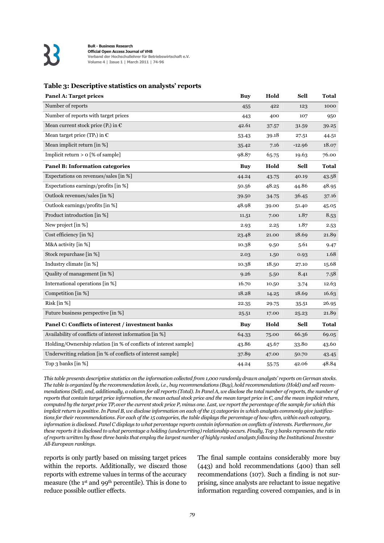

#### **Table 3: Descriptive statistics on analysts' reports**

| <b>Panel A: Target prices</b>                                     | <b>Buy</b> | Hold  | <b>Sell</b> | <b>Total</b> |
|-------------------------------------------------------------------|------------|-------|-------------|--------------|
| Number of reports                                                 | 455        | 422   | 123         | 1000         |
| Number of reports with target prices                              | 443        | 400   | 107         | 950          |
| Mean current stock price ( $P_t$ ) in $\epsilon$                  | 42.61      | 37.57 | 31.59       | 39.25        |
| Mean target price (TP <sub>t</sub> ) in $\epsilon$                | 53.43      | 39.18 | 27.51       | 44.51        |
| Mean implicit return [in %]                                       | 35.42      | 7.16  | $-12.96$    | 18.07        |
| Implicit return $> 0$ [% of sample]                               | 98.87      | 65.75 | 19.63       | 76.00        |
| <b>Panel B: Information categories</b>                            | <b>Buy</b> | Hold  | <b>Sell</b> | <b>Total</b> |
| Expectations on revenues/sales [in %]                             | 44.24      | 43.75 | 40.19       | 43.58        |
| Expectations earnings/profits [in %]                              | 50.56      | 48.25 | 44.86       | 48.95        |
| Outlook revenues/sales [in %]                                     | 39.50      | 34.75 | 36.45       | 37.16        |
| Outlook earnings/profits [in %]                                   | 48.98      | 39.00 | 51.40       | 45.05        |
| Product introduction [in %]                                       | 11.51      | 7.00  | 1.87        | 8.53         |
| New project [in %]                                                | 2.93       | 2.25  | 1.87        | 2.53         |
| Cost efficiency [in %]                                            | 23.48      | 21.00 | 18.69       | 21.89        |
| M&A activity [in %]                                               | 10.38      | 9.50  | 5.61        | 9.47         |
| Stock repurchase [in %]                                           | 2.03       | 1.50  | 0.93        | 1.68         |
| Industry climate [in %]                                           | 10.38      | 18.50 | 27.10       | 15.68        |
| Quality of management [in %]                                      | 9.26       | 5.50  | 8.41        | 7.58         |
| International operations [in %]                                   | 16.70      | 10.50 | 3.74        | 12.63        |
| Competition [in %]                                                | 18.28      | 14.25 | 18.69       | 16.63        |
| Risk $\lceil \ln \frac{9}{6} \rceil$                              | 22.35      | 29.75 | 35.51       | 26.95        |
| Future business perspective [in %]                                | 25.51      | 17.00 | 25.23       | 21.89        |
| Panel C: Conflicts of interest / investment banks                 | <b>Buy</b> | Hold  | <b>Sell</b> | <b>Total</b> |
| Availability of conflicts of interest information [in %]          | 64.33      | 75.00 | 66.36       | 69.05        |
| Holding/Ownership relation [in % of conflicts of interest sample] | 43.86      | 45.67 | 33.80       | 43.60        |
| Underwriting relation [in % of conflicts of interest sample]      | 37.89      | 47.00 | 50.70       | 43.45        |
| Top 3 banks $\lceil \ln \frac{1}{6} \rceil$                       | 44.24      | 55.75 | 42.06       | 48.84        |

*This table presents descriptive statistics on the information collected from 1,000 randomly drawn analysts' reports on German stocks. The table is organized by the recommendation levels, i.e., buy recommendations (Buy), hold recommendations (Hold) and sell recommendations (Sell), and, additionally, a column for all reports (Total). In Panel A, we disclose the total number of reports, the number of reports that contain target price information, the mean actual stock price and the mean target price in €, and the mean implicit return, computed by the target price TP<sub>t</sub> over the current stock price*  $P_t$  *minus one. Last, we report the percentage of the sample for which this implicit return is positive. In Panel B, we disclose information on each of the 15 categories in which analysts commonly give justifications for their recommendations. For each of the 15 categories, the table displays the percentage of how often, within each category, information is disclosed. Panel C displays to what percentage reports contain information on conflicts of interests. Furthermore, for these reports it is disclosed to what percentage a holding (underwriting) relationship occurs. Finally, Top 3 banks represents the ratio of reports written by those three banks that employ the largest number of highly ranked analysts following the Institutional Investor All-European rankings.* 

reports is only partly based on missing target prices within the reports. Additionally, we discard those reports with extreme values in terms of the accuracy measure (the 1st and 99th percentile). This is done to reduce possible outlier effects.

The final sample contains considerably more buy (443) and hold recommendations (400) than sell recommendations (107). Such a finding is not surprising, since analysts are reluctant to issue negative information regarding covered companies, and is in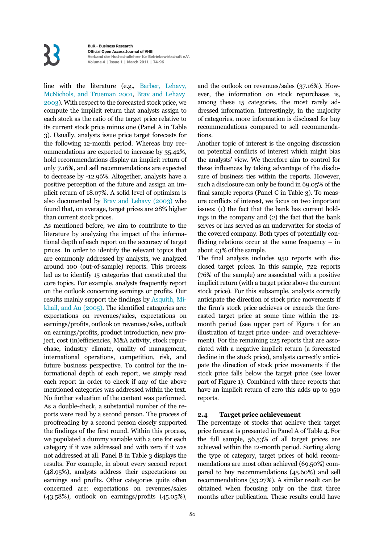line with the literature (e.g., Barber, Lehavy, McNichols, and Trueman 2001, Brav and Lehavy 2003). With respect to the forecasted stock price, we compute the implicit return that analysts assign to each stock as the ratio of the target price relative to its current stock price minus one (Panel A in Table 3). Usually, analysts issue price target forecasts for the following 12-month period. Whereas buy recommendations are expected to increase by 35.42%, hold recommendations display an implicit return of only 7.16%, and sell recommendations are expected to decrease by -12.96%. Altogether, analysts have a positive perception of the future and assign an implicit return of 18.07%. A solid level of optimism is also documented by Brav and Lehavy (2003) who found that, on average, target prices are 28% higher than current stock prices.

As mentioned before, we aim to contribute to the literature by analyzing the impact of the informational depth of each report on the accuracy of target prices. In order to identify the relevant topics that are commonly addressed by analysts, we analyzed around 100 (out-of-sample) reports. This process led us to identify 15 categories that constituted the core topics. For example, analysts frequently report on the outlook concerning earnings or profits. Our results mainly support the findings by Asquith, Mikhail, and Au (2005). The identified categories are: expectations on revenues/sales, expectations on earnings/profits, outlook on revenues/sales, outlook on earnings/profits, product introduction, new project, cost (in)efficiencies, M&A activity, stock repurchase, industry climate, quality of management, international operations, competition, risk, and future business perspective. To control for the informational depth of each report, we simply read each report in order to check if any of the above mentioned categories was addressed within the text. No further valuation of the content was performed. As a double-check, a substantial number of the reports were read by a second person. The process of proofreading by a second person closely supported the findings of the first round. Within this process, we populated a dummy variable with a one for each category if it was addressed and with zero if it was not addressed at all. Panel B in Table 3 displays the results. For example, in about every second report (48.95%), analysts address their expectations on earnings and profits. Other categories quite often concerned are: expectations on revenues/sales (43.58%), outlook on earnings/profits (45.05%),

and the outlook on revenues/sales (37.16%). However, the information on stock repurchases is, among these 15 categories, the most rarely addressed information. Interestingly, in the majority of categories, more information is disclosed for buy recommendations compared to sell recommendations.

Another topic of interest is the ongoing discussion on potential conflicts of interest which might bias the analysts' view. We therefore aim to control for these influences by taking advantage of the disclosure of business ties within the reports. However, such a disclosure can only be found in 69.05% of the final sample reports (Panel C in Table 3). To measure conflicts of interest, we focus on two important issues: (1) the fact that the bank has current holdings in the company and (2) the fact that the bank serves or has served as an underwriter for stocks of the covered company. Both types of potentially conflicting relations occur at the same frequency – in about 43% of the sample.

The final analysis includes 950 reports with disclosed target prices. In this sample, 722 reports (76% of the sample) are associated with a positive implicit return (with a target price above the current stock price). For this subsample, analysts correctly anticipate the direction of stock price movements if the firm's stock price achieves or exceeds the forecasted target price at some time within the 12 month period (see upper part of Figure 1 for an illustration of target price under- and overachievement). For the remaining 225 reports that are associated with a negative implicit return (a forecasted decline in the stock price), analysts correctly anticipate the direction of stock price movements if the stock price falls below the target price (see lower part of Figure 1). Combined with three reports that have an implicit return of zero this adds up to 950 reports.

#### **2.4 Target price achievement**

The percentage of stocks that achieve their target price forecast is presented in Panel A of Table 4. For the full sample, 56.53% of all target prices are achieved within the 12-month period. Sorting along the type of category, target prices of hold recommendations are most often achieved (69.50%) compared to buy recommendations (45.60%) and sell recommendations (53.27%). A similar result can be obtained when focusing only on the first three months after publication. These results could have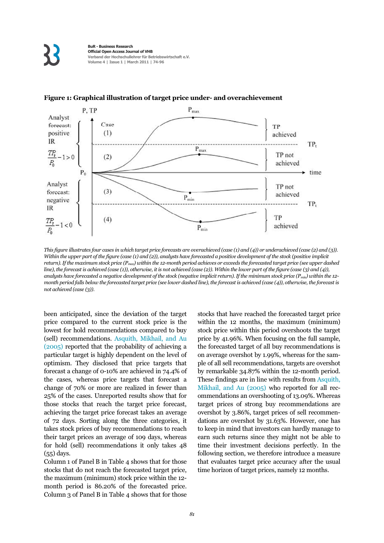

#### **Figure 1: Graphical illustration of target price under- and overachievement**

*This figure illustrates four cases in which target price forecasts are overachieved (case (1) and (4)) or underachieved (case (2) and (3)). Within the upper part of the figure (case (1) and (2)), analysts have forecasted a positive development of the stock (positive implicit return). If the maximum stock price (Pmax) within the 12-month period achieves or exceeds the forecasted target price (see upper dashed line), the forecast is achieved (case (1)), otherwise, it is not achieved (case (2)). Within the lower part of the figure (case (3) and (4)), analysts have forecasted a negative development of the stock (negative implicit return). If the minimum stock price (Pmin) within the 12 month period falls below the forecasted target price (see lower dashed line), the forecast is achieved (case (4)), otherwise, the forecast is not achieved (case (3)).* 

been anticipated, since the deviation of the target price compared to the current stock price is the lowest for hold recommendations compared to buy (sell) recommendations. Asquith, Mikhail, and Au (2005) reported that the probability of achieving a particular target is highly dependent on the level of optimism. They disclosed that price targets that forecast a change of 0-10% are achieved in 74.4% of the cases, whereas price targets that forecast a change of 70% or more are realized in fewer than 25% of the cases. Unreported results show that for those stocks that reach the target price forecast, achieving the target price forecast takes an average of 72 days. Sorting along the three categories, it takes stock prices of buy recommendations to reach their target prices an average of 109 days, whereas for hold (sell) recommendations it only takes 48 (55) days.

Column 1 of Panel B in Table 4 shows that for those stocks that do not reach the forecasted target price, the maximum (minimum) stock price within the 12 month period is 86.20% of the forecasted price. Column 3 of Panel B in Table 4 shows that for those stocks that have reached the forecasted target price within the 12 months, the maximum (minimum) stock price within this period overshoots the target price by 41.96%. When focusing on the full sample, the forecasted target of all buy recommendations is on average overshot by 1.99%, whereas for the sample of all sell recommendations, targets are overshot by remarkable 34.87% within the 12-month period. These findings are in line with results from Asquith, Mikhail, and Au (2005) who reported for all recommendations an overshooting of 13.09%. Whereas target prices of strong buy recommendations are overshot by 3.86%, target prices of sell recommendations are overshot by 31.63%. However, one has to keep in mind that investors can hardly manage to earn such returns since they might not be able to time their investment decisions perfectly. In the following section, we therefore introduce a measure that evaluates target price accuracy after the usual time horizon of target prices, namely 12 months.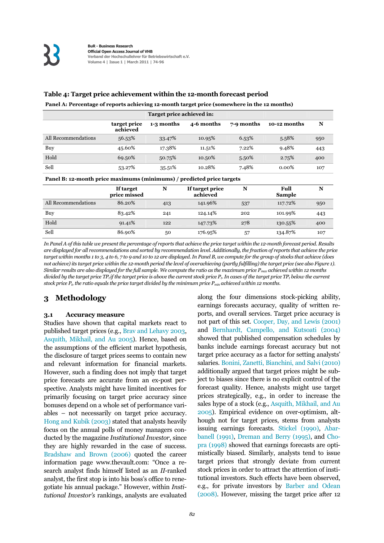#### **Table 4: Target price achievement within the 12-month forecast period**

|  | Panel A: Percentage of reports achieving 12-month target price (somewhere in the 12 months) |  |
|--|---------------------------------------------------------------------------------------------|--|
|  |                                                                                             |  |

|                     | target price<br>achieved                                              | 1-3 months | 4-6 months | 7-9 months | 10-12 months | N   |  |  |  |
|---------------------|-----------------------------------------------------------------------|------------|------------|------------|--------------|-----|--|--|--|
| All Recommendations | 56.53%                                                                | 33.47%     | 10.95%     | 6.53%      | 5.58%        | 950 |  |  |  |
| Buy                 | 45.60%                                                                | 17.38%     | 11.51%     | 7.22%      | 9.48%        | 443 |  |  |  |
| Hold                | 69.50%                                                                | 50.75%     | 10.50%     | 5.50%      | 2.75%        | 400 |  |  |  |
| Sell                | 53.27%                                                                | 35.51%     | 10.28%     | 7.48%      | $0.00\%$     | 107 |  |  |  |
|                     | Panel B: 12-month price maximums (minimums) / predicted price targets |            |            |            |              |     |  |  |  |

|                     | If target<br>price missed | N   | If target price<br>achieved | N   | Full<br><b>Sample</b> | N   |
|---------------------|---------------------------|-----|-----------------------------|-----|-----------------------|-----|
| All Recommendations | 86.20%                    | 413 | 141.96%                     | 537 | 117.72%               | 950 |
| Buy                 | 83.42%                    | 241 | 124.14%                     | 202 | 101.99%               | 443 |
| Hold                | 91.41%                    | 122 | 147.73%                     | 278 | 130.55%               | 400 |
| Sell                | 86.90%                    | 50  | 176.95%                     | 57  | 134.87%               | 107 |

*In Panel A of this table we present the percentage of reports that achieve the price target within the 12-month forecast period. Results are displayed for all recommendations and sorted by recommendation level. Additionally, the fraction of reports that achieve the price target within months 1 to 3, 4 to 6, 7 to 9 and 10 to 12 are displayed. In Panel B, we compute for the group of stocks that achieve (does not achieve) its target price within the 12-month period the level of overachieving (partly fulfilling) the target price (see also Figure 1). Similar results are also displayed for the full sample. We compute the ratio as the maximum price Pmax achieved within 12 months divided by the target price TP<sub>t</sub> if the target price is above the current stock price P<sub>t</sub>. In cases of the target price TP<sub>t</sub> below the current* stock price  $P_t$ , the ratio equals the price target divided by the minimum price  $P_{min}$  achieved within 12 months.

#### **3 Methodology**

#### **3.1 Accuracy measure**

Studies have shown that capital markets react to published target prices (e.g., Brav and Lehavy 2003, Asquith, Mikhail, and Au 2005). Hence, based on the assumptions of the efficient market hypothesis, the disclosure of target prices seems to contain new and relevant information for financial markets. However, such a finding does not imply that target price forecasts are accurate from an ex-post perspective. Analysts might have limited incentives for primarily focusing on target price accuracy since bonuses depend on a whole set of performance variables – not necessarily on target price accuracy. Hong and Kubik (2003) stated that analysts heavily focus on the annual polls of money managers conducted by the magazine *Institutional Investor*, since they are highly rewarded in the case of success. Bradshaw and Brown (2006) quoted the career information page www.thevault.com: "Once a research analyst finds himself listed as an *II*-ranked analyst, the first stop is into his boss's office to renegotiate his annual package." However, within *Institutional Investor's* rankings, analysts are evaluated along the four dimensions stock-picking ability, earnings forecasts accuracy, quality of written reports, and overall services. Target price accuracy is not part of this set. Cooper, Day, and Lewis (2001) and Bernhardt, Campello, and Kutsoati (2004) showed that published compensation schedules by banks include earnings forecast accuracy but not target price accuracy as a factor for setting analysts' salaries. Bonini, Zanetti, Bianchini, and Salvi (2010) additionally argued that target prices might be subject to biases since there is no explicit control of the forecast quality. Hence, analysts might use target prices strategically, e.g., in order to increase the sales hype of a stock (e.g., Asquith, Mikhail, and Au 2005). Empirical evidence on over-optimism, although not for target prices, stems from analysts issuing earnings forecasts. Stickel (1990), Abarbanell (1991), Dreman and Berry (1995), and Chopra (1998) showed that earnings forecasts are optimistically biased. Similarly, analysts tend to issue target prices that strongly deviate from current stock prices in order to attract the attention of institutional investors. Such effects have been observed, e.g., for private investors by Barber and Odean  $(2008)$ . However, missing the target price after 12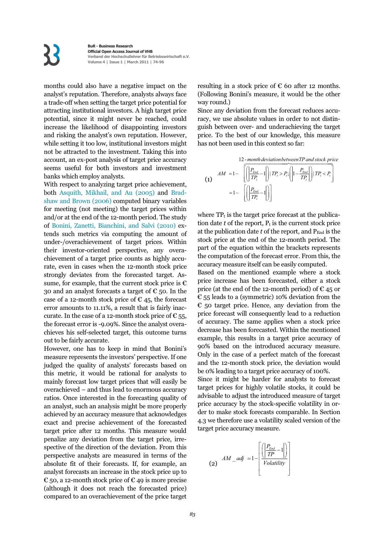months could also have a negative impact on the analyst's reputation. Therefore, analysts always face a trade-off when setting the target price potential for attracting institutional investors. A high target price potential, since it might never be reached, could increase the likelihood of disappointing investors and risking the analyst's own reputation. However, while setting it too low, institutional investors might not be attracted to the investment. Taking this into account, an ex-post analysis of target price accuracy seems useful for both investors and investment banks which employ analysts.

With respect to analyzing target price achievement, both Asquith, Mikhail, and Au (2005) and Bradshaw and Brown (2006) computed binary variables for meeting (not meeting) the target prices within and/or at the end of the 12-month period. The study of Bonini, Zanetti, Bianchini, and Salvi (2010) extends such metrics via computing the amount of under-/overachievement of target prices. Within their investor-oriented perspective, any overachievement of a target price counts as highly accurate, even in cases when the 12-month stock price strongly deviates from the forecasted target. Assume, for example, that the current stock price is  $\epsilon$ 30 and an analyst forecasts a target of  $\epsilon$  50. In the case of a 12-month stock price of  $\epsilon$  45, the forecast error amounts to 11.11%, a result that is fairly inaccurate. In the case of a 12-month stock price of  $\epsilon$  55, the forecast error is -9.09%. Since the analyst overachieves his self-selected target, this outcome turns out to be fairly accurate.

However, one has to keep in mind that Bonini's measure represents the investors' perspective. If one judged the quality of analysts' forecasts based on this metric, it would be rational for analysts to mainly forecast low target prices that will easily be overachieved – and thus lead to enormous accuracy ratios. Once interested in the forecasting quality of an analyst, such an analysis might be more properly achieved by an accuracy measure that acknowledges exact and precise achievement of the forecasted target price after 12 months. This measure would penalize any deviation from the target price, irrespective of the direction of the deviation. From this perspective analysts are measured in terms of the absolute fit of their forecasts. If, for example, an analyst forecasts an increase in the stock price up to € 50, a 12-month stock price of € 49 is more precise (although it does not reach the forecasted price) compared to an overachievement of the price target resulting in a stock price of  $\epsilon$  60 after 12 months. (Following Bonini's measure, it would be the other way round.)

Since any deviation from the forecast reduces accuracy, we use absolute values in order to not distinguish between over- and underachieving the target price. To the best of our knowledge, this measure has not been used in this context so far:

12 - *month deviationbetweenTP and stock price* -

$$
\begin{aligned} \mathbf{(1)} \quad & AM = 1 - \left[ \left( \left| \frac{P_{End}}{TP_i} - 1 \right| \right) | TP_i > P_i; \left( \left| 1 - \frac{P_{End}}{TP_i} \right| \right) | TP_i < P_i \right] \\ &= 1 - \left[ \left( \left| \frac{P_{End}}{TP_i} - 1 \right| \right) \right] \end{aligned}
$$

where  $TP_t$  is the target price forecast at the publication date  $t$  of the report,  $P_t$  is the current stock price at the publication date  $t$  of the report, and  $P_{End}$  is the stock price at the end of the 12-month period. The part of the equation within the brackets represents the computation of the forecast error. From this, the accuracy measure itself can be easily computed.

Based on the mentioned example where a stock price increase has been forecasted, either a stock price (at the end of the 12-month period) of  $\epsilon$  45 or  $\epsilon$  55 leads to a (symmetric) 10% deviation from the  $\epsilon$  50 target price. Hence, any deviation from the price forecast will consequently lead to a reduction of accuracy. The same applies when a stock price decrease has been forecasted. Within the mentioned example, this results in a target price accuracy of 90% based on the introduced accuracy measure. Only in the case of a perfect match of the forecast and the 12-month stock price, the deviation would be 0% leading to a target price accuracy of 100%.

Since it might be harder for analysts to forecast target prices for highly volatile stocks, it could be advisable to adjust the introduced measure of target price accuracy by the stock-specific volatility in order to make stock forecasts comparable. In Section 4.3 we therefore use a volatility scaled version of the target price accuracy measure.

$$
(2) \quad AM\_adj = 1 - \left[ \frac{\left( \left| \frac{P_{End}}{TP} - 1 \right| \right)}{Volatility} \right]
$$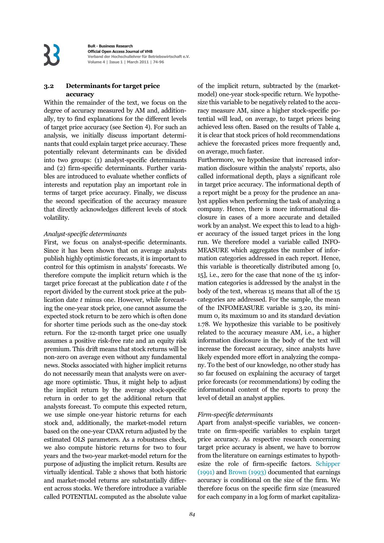#### **3.2 Determinants for target price accuracy**

Within the remainder of the text, we focus on the degree of accuracy measured by AM and, additionally, try to find explanations for the different levels of target price accuracy (see Section 4). For such an analysis, we initially discuss important determinants that could explain target price accuracy. These potentially relevant determinants can be divided into two groups: (1) analyst-specific determinants and (2) firm-specific determinants. Further variables are introduced to evaluate whether conflicts of interests and reputation play an important role in terms of target price accuracy. Finally, we discuss the second specification of the accuracy measure that directly acknowledges different levels of stock volatility.

#### *Analyst-specific determinants*

First, we focus on analyst-specific determinants. Since it has been shown that on average analysts publish highly optimistic forecasts, it is important to control for this optimism in analysts' forecasts. We therefore compute the implicit return which is the target price forecast at the publication date *t* of the report divided by the current stock price at the publication date *t* minus one. However, while forecasting the one-year stock price, one cannot assume the expected stock return to be zero which is often done for shorter time periods such as the one-day stock return. For the 12-month target price one usually assumes a positive risk-free rate and an equity risk premium. This drift means that stock returns will be non-zero on average even without any fundamental news. Stocks associated with higher implicit returns do not necessarily mean that analysts were on average more optimistic. Thus, it might help to adjust the implicit return by the average stock-specific return in order to get the additional return that analysts forecast. To compute this expected return, we use simple one-year historic returns for each stock and, additionally, the market-model return based on the one-year CDAX return adjusted by the estimated OLS parameters. As a robustness check, we also compute historic returns for two to four years and the two-year market-model return for the purpose of adjusting the implicit return. Results are virtually identical. Table 2 shows that both historic and market-model returns are substantially different across stocks. We therefore introduce a variable called POTENTIAL computed as the absolute value of the implicit return, subtracted by the (marketmodel) one-year stock-specific return. We hypothesize this variable to be negatively related to the accuracy measure AM, since a higher stock-specific potential will lead, on average, to target prices being achieved less often. Based on the results of Table 4, it is clear that stock prices of hold recommendations achieve the forecasted prices more frequently and, on average, much faster.

Furthermore, we hypothesize that increased information disclosure within the analysts' reports, also called informational depth, plays a significant role in target price accuracy. The informational depth of a report might be a proxy for the prudence an analyst applies when performing the task of analyzing a company. Hence, there is more informational disclosure in cases of a more accurate and detailed work by an analyst. We expect this to lead to a higher accuracy of the issued target prices in the long run. We therefore model a variable called INFO-MEASURE which aggregates the number of information categories addressed in each report. Hence, this variable is theoretically distributed among [0, 15], i.e., zero for the case that none of the 15 information categories is addressed by the analyst in the body of the text, whereas 15 means that all of the 15 categories are addressed. For the sample, the mean of the INFOMEASURE variable is 3.20, its minimum 0, its maximum 10 and its standard deviation 1.78. We hypothesize this variable to be positively related to the accuracy measure AM, i.e., a higher information disclosure in the body of the text will increase the forecast accuracy, since analysts have likely expended more effort in analyzing the company. To the best of our knowledge, no other study has so far focused on explaining the accuracy of target price forecasts (or recommendations) by coding the informational content of the reports to proxy the level of detail an analyst applies.

#### *Firm-specific determinants*

Apart from analyst-specific variables, we concentrate on firm-specific variables to explain target price accuracy. As respective research concerning target price accuracy is absent, we have to borrow from the literature on earnings estimates to hypothesize the role of firm-specific factors. Schipper (1991) and Brown (1993) documented that earnings accuracy is conditional on the size of the firm. We therefore focus on the specific firm size (measured for each company in a log form of market capitaliza-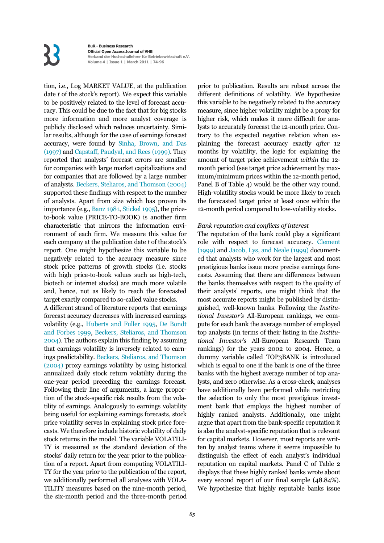tion, i.e., Log MARKET VALUE, at the publication date *t* of the stock's report). We expect this variable to be positively related to the level of forecast accuracy. This could be due to the fact that for big stocks more information and more analyst coverage is publicly disclosed which reduces uncertainty. Similar results, although for the case of earnings forecast accuracy, were found by Sinha, Brown, and Das (1997) and Capstaff, Paudyal, and Rees (1999). They reported that analysts' forecast errors are smaller for companies with large market capitalizations and for companies that are followed by a large number of analysts. Beckers, Steliaros, and Thomson (2004) supported these findings with respect to the number of analysts. Apart from size which has proven its importance (e.g., Banz 1981, Stickel 1995), the priceto-book value (PRICE-TO-BOOK) is another firm characteristic that mirrors the information environment of each firm. We measure this value for each company at the publication date *t* of the stock's report. One might hypothesize this variable to be negatively related to the accuracy measure since stock price patterns of growth stocks (i.e. stocks with high price-to-book values such as high-tech, biotech or internet stocks) are much more volatile and, hence, not as likely to reach the forecasted target exactly compared to so-called value stocks.

A different strand of literature reports that earnings forecast accuracy decreases with increased earnings volatility (e.g., Huberts and Fuller 1995, De Bondt and Forbes 1999, Beckers, Steliaros, and Thomson 2004). The authors explain this finding by assuming that earnings volatility is inversely related to earnings predictability. Beckers, Steliaros, and Thomson (2004) proxy earnings volatility by using historical annualized daily stock return volatility during the one-year period preceding the earnings forecast. Following their line of arguments, a large proportion of the stock-specific risk results from the volatility of earnings. Analogously to earnings volatility being useful for explaining earnings forecasts, stock price volatility serves in explaining stock price forecasts. We therefore include historic volatility of daily stock returns in the model. The variable VOLATILI-TY is measured as the standard deviation of the stocks' daily return for the year prior to the publication of a report. Apart from computing VOLATILI-TY for the year prior to the publication of the report, we additionally performed all analyses with VOLA-TILITY measures based on the nine-month period, the six-month period and the three-month period prior to publication. Results are robust across the different definitions of volatility. We hypothesize this variable to be negatively related to the accuracy measure, since higher volatility might be a proxy for higher risk, which makes it more difficult for analysts to accurately forecast the 12-month price. Contrary to the expected negative relation when explaining the forecast accuracy exactly *after* 12 months by volatility, the logic for explaining the amount of target price achievement *within* the 12 month period (see target price achievement by maximum/minimum prices within the 12-month period, Panel B of Table 4) would be the other way round. High-volatility stocks would be more likely to reach the forecasted target price at least once within the 12-month period compared to low-volatility stocks.

#### *Bank reputation and conflicts of interest*

The reputation of the bank could play a significant role with respect to forecast accuracy. Clement (1999) and Jacob, Lys, and Neale (1999) documented that analysts who work for the largest and most prestigious banks issue more precise earnings forecasts. Assuming that there are differences between the banks themselves with respect to the quality of their analysts' reports, one might think that the most accurate reports might be published by distinguished, well-known banks. Following the *Institutional Investor's* All-European rankings, we compute for each bank the average number of employed top analysts (in terms of their listing in the *Institutional Investor's* All-European Research Team rankings) for the years 2002 to 2004. Hence, a dummy variable called TOP3BANK is introduced which is equal to one if the bank is one of the three banks with the highest average number of top analysts, and zero otherwise. As a cross-check, analyses have additionally been performed while restricting the selection to only the most prestigious investment bank that employs the highest number of highly ranked analysts. Additionally, one might argue that apart from the bank-specific reputation it is also the analyst-specific reputation that is relevant for capital markets. However, most reports are written by analyst teams where it seems impossible to distinguish the effect of each analyst's individual reputation on capital markets. Panel C of Table 2 displays that these highly ranked banks wrote about every second report of our final sample (48.84%). We hypothesize that highly reputable banks issue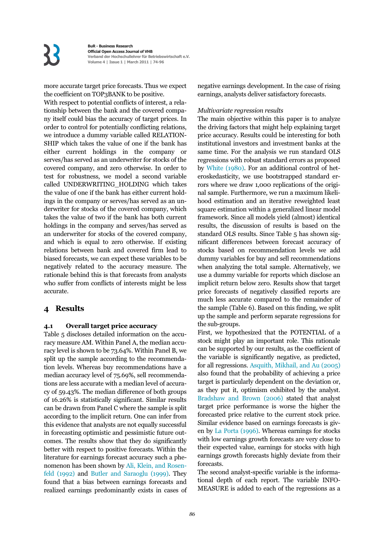more accurate target price forecasts. Thus we expect the coefficient on TOP3BANK to be positive.

With respect to potential conflicts of interest, a relationship between the bank and the covered company itself could bias the accuracy of target prices. In order to control for potentially conflicting relations, we introduce a dummy variable called RELATION-SHIP which takes the value of one if the bank has either current holdings in the company or serves/has served as an underwriter for stocks of the covered company, and zero otherwise. In order to test for robustness, we model a second variable called UNDERWRITING\_HOLDING which takes the value of one if the bank has either current holdings in the company or serves/has served as an underwriter for stocks of the covered company, which takes the value of two if the bank has both current holdings in the company and serves/has served as an underwriter for stocks of the covered company, and which is equal to zero otherwise. If existing relations between bank and covered firm lead to biased forecasts, we can expect these variables to be negatively related to the accuracy measure. The rationale behind this is that forecasts from analysts who suffer from conflicts of interests might be less accurate.

#### **4 Results**

#### **4.1 Overall target price accuracy**

Table 5 discloses detailed information on the accuracy measure AM. Within Panel A, the median accuracy level is shown to be 73.64%. Within Panel B, we split up the sample according to the recommendation levels. Whereas buy recommendations have a median accuracy level of 75.69%, sell recommendations are less accurate with a median level of accuracy of 59.43%. The median difference of both groups of 16.26% is statistically significant. Similar results can be drawn from Panel C where the sample is split according to the implicit return. One can infer from this evidence that analysts are not equally successful in forecasting optimistic and pessimistic future outcomes. The results show that they do significantly better with respect to positive forecasts. Within the literature for earnings forecast accuracy such a phenomenon has been shown by Ali, Klein, and Rosenfeld (1992) and Butler and Saraoglu (1999). They found that a bias between earnings forecasts and realized earnings predominantly exists in cases of negative earnings development. In the case of rising earnings, analysts deliver satisfactory forecasts.

#### *Multivariate regression results*

The main objective within this paper is to analyze the driving factors that might help explaining target price accuracy. Results could be interesting for both institutional investors and investment banks at the same time. For the analysis we run standard OLS regressions with robust standard errors as proposed by White (1980). For an additional control of heteroskedasticity, we use bootstrapped standard errors where we draw 1,000 replications of the original sample. Furthermore, we run a maximum likelihood estimation and an iterative reweighted least square estimation within a generalized linear model framework. Since all models yield (almost) identical results, the discussion of results is based on the standard OLS results. Since Table 5 has shown significant differences between forecast accuracy of stocks based on recommendation levels we add dummy variables for buy and sell recommendations when analyzing the total sample. Alternatively, we use a dummy variable for reports which disclose an implicit return below zero. Results show that target price forecasts of negatively classified reports are much less accurate compared to the remainder of the sample (Table 6). Based on this finding, we split up the sample and perform separate regressions for the sub-groups.

First, we hypothesized that the POTENTIAL of a stock might play an important role. This rationale can be supported by our results, as the coefficient of the variable is significantly negative, as predicted, for all regressions. Asquith, Mikhail, and Au (2005) also found that the probability of achieving a price target is particularly dependent on the deviation or, as they put it, optimism exhibited by the analyst. Bradshaw and Brown (2006) stated that analyst target price performance is worse the higher the forecasted price relative to the current stock price. Similar evidence based on earnings forecasts is given by La Porta (1996). Whereas earnings for stocks with low earnings growth forecasts are very close to their expected value, earnings for stocks with high earnings growth forecasts highly deviate from their forecasts.

The second analyst-specific variable is the informational depth of each report. The variable INFO-MEASURE is added to each of the regressions as a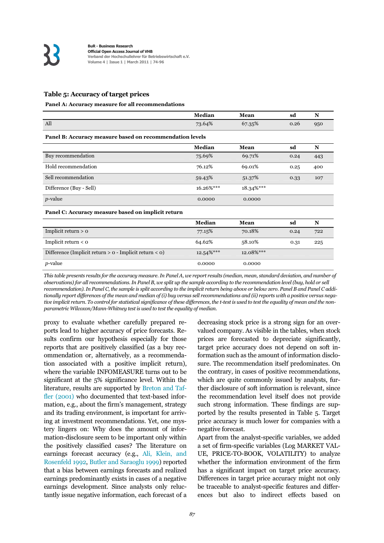#### **Table 5: Accuracy of target prices**

#### **Panel A: Accuracy measure for all recommendations**

|                                                          | Median        | Mean      | sd   | N   |
|----------------------------------------------------------|---------------|-----------|------|-----|
| All                                                      | 73.64%        | 67.35%    | 0.26 | 950 |
| Panel B: Accuracy measure based on recommendation levels |               |           |      |     |
|                                                          | Median        | Mean      | sd   | N   |
| Buy recommendation                                       | 75.69%        | 69.71%    | 0.24 | 443 |
| Hold recommendation                                      | 76.12%        | 69.01%    | 0.25 | 400 |
| Sell recommendation                                      | 59.43%        | 51.37%    | 0.33 | 107 |
| Difference (Buy - Sell)                                  | $16.26\%$ *** | 18.34%*** |      |     |
| <i>p</i> -value                                          | 0.0000        | 0.0000    |      |     |
| Panel C: Accuracy measure based on implicit return       |               |           |      |     |

|                                                             | <b>Median</b> | Mean          | sd   | N   |
|-------------------------------------------------------------|---------------|---------------|------|-----|
| Implicit return $> 0$                                       | 77.15%        | 70.18%        | 0.24 | 722 |
| Implicit return $\lt o$                                     | 64.62%        | 58.10%        | 0.31 | 225 |
| Difference (Implicit return $> 0$ - Implicit return $< 0$ ) | $12.54\%$ *** | $12.08\%$ *** |      |     |
| $p$ -value                                                  | 0.0000        | 0.0000        |      |     |

*This table presents results for the accuracy measure. In Panel A, we report results (median, mean, standard deviation, and number of observations) for all recommendations. In Panel B, we split up the sample according to the recommendation level (buy, hold or sell recommendation). In Panel C, the sample is split according to the implicit return being above or below zero. Panel B and Panel C additionally report differences of the mean and median of (i) buy versus sell recommendations and (ii) reports with a positive versus negative implicit return. To control for statistical significance of these differences, the t-test is used to test the equality of mean and the nonparametric Wilcoxon/Mann-Whitney test is used to test the equality of median.* 

proxy to evaluate whether carefully prepared reports lead to higher accuracy of price forecasts. Results confirm our hypothesis especially for those reports that are positively classified (as a buy recommendation or, alternatively, as a recommendation associated with a positive implicit return), where the variable INFOMEASURE turns out to be significant at the 5% significance level. Within the literature, results are supported by Breton and Taffler (2001) who documented that text-based information, e.g., about the firm's management, strategy and its trading environment, is important for arriving at investment recommendations. Yet, one mystery lingers on: Why does the amount of information-disclosure seem to be important only within the positively classified cases? The literature on earnings forecast accuracy (e.g., Ali, Klein, and Rosenfeld 1992, Butler and Saraoglu 1999) reported that a bias between earnings forecasts and realized earnings predominantly exists in cases of a negative earnings development. Since analysts only reluctantly issue negative information, each forecast of a decreasing stock price is a strong sign for an overvalued company. As visible in the tables, when stock prices are forecasted to depreciate significantly, target price accuracy does not depend on soft information such as the amount of information disclosure. The recommendation itself predominates. On the contrary, in cases of positive recommendations, which are quite commonly issued by analysts, further disclosure of soft information is relevant, since the recommendation level itself does not provide such strong information. These findings are supported by the results presented in Table 5. Target price accuracy is much lower for companies with a negative forecast.

Apart from the analyst-specific variables, we added a set of firm-specific variables (Log MARKET VAL-UE, PRICE-TO-BOOK, VOLATILITY) to analyze whether the information environment of the firm has a significant impact on target price accuracy. Differences in target price accuracy might not only be traceable to analyst-specific features and differences but also to indirect effects based on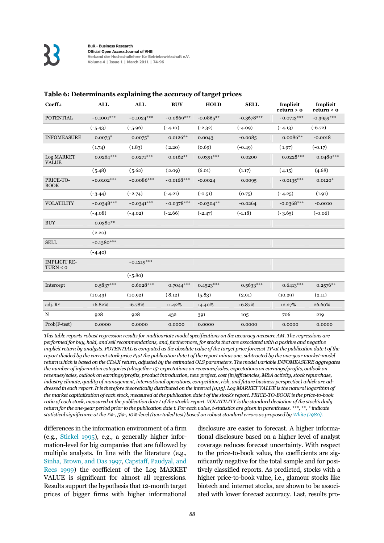| Coeff.:                         | <b>ALL</b>   | <b>ALL</b>   | <b>BUY</b>   | <b>HOLD</b> | <b>SELL</b>  | Implicit<br>return > 0 | Implicit<br>return < o |
|---------------------------------|--------------|--------------|--------------|-------------|--------------|------------------------|------------------------|
| <b>POTENTIAL</b>                | $-0.1001***$ | $-0.1024***$ | $-0.0869***$ | $-0.0865**$ | $-0.3678***$ | $-0.0713***$           | $-0.3959***$           |
|                                 | $(-5.43)$    | $(-5.96)$    | $(-4.10)$    | $(-2.32)$   | $(-4.09)$    | $(-4.13)$              | $(-6.72)$              |
| <b>INFOMEASURE</b>              | $0.0073*$    | $0.0075*$    | $0.0126**$   | 0.0043      | $-0.0085$    | $0.0086**$             | $-0.0018$              |
|                                 | (1.74)       | (1.83)       | (2.20)       | (0.69)      | $(-0.49)$    | (1.97)                 | $(-0.17)$              |
| Log MARKET<br><b>VALUE</b>      | $0.0264***$  | $0.0271***$  | $0.0162**$   | $0.0391***$ | 0.0200       | $0.0228***$            | $0.0480***$            |
|                                 | (5.48)       | (5.62)       | (2.09)       | (6.01)      | (1.17)       | (4.15)                 | (4.68)                 |
| PRICE-TO-<br><b>BOOK</b>        | $-0.0102***$ | $-0.0086***$ | $-0.0168***$ | $-0.0024$   | 0.0095       | $-0.0135***$           | $0.0120*$              |
|                                 | $(-3.44)$    | $(-2.74)$    | $(-4.21)$    | $(-0.51)$   | (0.75)       | $(-4.25)$              | (1.91)                 |
| <b>VOLATILITY</b>               | $-0.0348***$ | $-0.0341***$ | $-0.0378***$ | $-0.0304**$ | $-0.0264$    | $-0.0368***$           | $-0.0010$              |
|                                 | $(-4.08)$    | $(-4.02)$    | $(-2.66)$    | $(-2.47)$   | $(-1.18)$    | $(-3.65)$              | $(-0.06)$              |
| <b>BUY</b>                      | $0.0380**$   |              |              |             |              |                        |                        |
|                                 | (2.20)       |              |              |             |              |                        |                        |
| <b>SELL</b>                     | $-0.1380***$ |              |              |             |              |                        |                        |
|                                 | $(-4.40)$    |              |              |             |              |                        |                        |
| <b>IMPLICIT RE-</b><br>TURN < 0 |              | $-0.1219***$ |              |             |              |                        |                        |
|                                 |              | $(-5.80)$    |              |             |              |                        |                        |
| Intercept                       | $0.5837***$  | $0.6028***$  | $0.7044***$  | $0.4523***$ | $0.5633***$  | $0.6413***$            | $0.2576**$             |
|                                 | (10.43)      | (10.92)      | (8.12)       | (5.83)      | (2.91)       | (10.29)                | (2.11)                 |
| adj. R <sup>2</sup>             | 16.82%       | 16.78%       | 11.42%       | 14.40%      | 16.87%       | 12.27%                 | 26.60%                 |
| $\mathbf N$                     | 928          | 928          | 432          | 391         | 105          | 706                    | 219                    |
| Prob(F-test)                    | 0.0000       | 0.0000       | 0.0000       | 0.0000      | 0.0000       | 0.0000                 | 0.0000                 |

#### **Table 6: Determinants explaining the accuracy of target prices**

*This table reports robust regression results for multivariate model specifications on the accuracy measure AM. The regressions are performed for buy, hold, and sell recommendations, and, furthermore, for stocks that are associated with a positive and negative implicit return by analysts. POTENTIAL is computed as the absolute value of the target price forecast TP<sub>t</sub> at the publication date t of the report divided by the current stock price P<sub>t</sub> at the publication date t of the report minus one, subtracted by the one-year market-model return which is based on the CDAX return, adjusted by the estimated OLS parameters. The model variable INFOMEASURE aggregates the number of information categories (altogether 15: expectations on revenues/sales, expectations on earnings/profits, outlook on revenues/sales, outlook on earnings/profits, product introduction, new project, cost (in)efficiencies, M&A activity, stock repurchase, industry climate, quality of management, international operations, competition, risk, and future business perspective) which are addressed in each report. It is therefore theoretically distributed on the interval [0,15]. Log MARKET VALUE is the natural logarithm of the market capitalization of each stock, measured at the publication date t of the stock's report. PRICE-TO-BOOK is the price-to-book ratio of each stock, measured at the publication date t of the stock's report. VOLATILITY is the standard deviation of the stock's daily return for the one-year period prior to the publication date t. For each value, t-statistics are given in parentheses. \*\*\*, \*\*, \* indicate statistical significance at the 1%-, 5%-, 10%-level (two-tailed test) based on robust standard errors as proposed by White (1980).* 

differences in the information environment of a firm (e.g., Stickel 1995), e.g., a generally higher information-level for big companies that are followed by multiple analysts. In line with the literature (e.g., Sinha, Brown, and Das 1997, Capstaff, Paudyal, and Rees 1999) the coefficient of the Log MARKET VALUE is significant for almost all regressions. Results support the hypothesis that 12-month target prices of bigger firms with higher informational disclosure are easier to forecast. A higher informational disclosure based on a higher level of analyst coverage reduces forecast uncertainty. With respect to the price-to-book value, the coefficients are significantly negative for the total sample and for positively classified reports. As predicted, stocks with a higher price-to-book value, i.e., glamour stocks like biotech and internet stocks, are shown to be associated with lower forecast accuracy. Last, results pro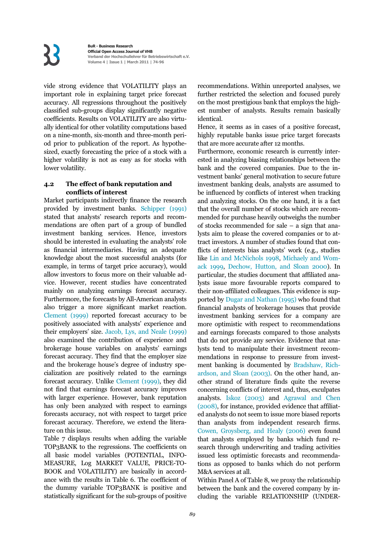vide strong evidence that VOLATILITY plays an important role in explaining target price forecast accuracy. All regressions throughout the positively classified sub-groups display significantly negative coefficients. Results on VOLATILITY are also virtually identical for other volatility computations based on a nine-month, six-month and three-month period prior to publication of the report. As hypothesized, exactly forecasting the price of a stock with a higher volatility is not as easy as for stocks with lower volatility.

#### **4.2 The effect of bank reputation and conflicts of interest**

Market participants indirectly finance the research provided by investment banks. Schipper (1991) stated that analysts' research reports and recommendations are often part of a group of bundled investment banking services. Hence, investors should be interested in evaluating the analysts' role as financial intermediaries. Having an adequate knowledge about the most successful analysts (for example, in terms of target price accuracy), would allow investors to focus more on their valuable advice. However, recent studies have concentrated mainly on analyzing earnings forecast accuracy. Furthermore, the forecasts by All-American analysts also trigger a more significant market reaction. Clement (1999) reported forecast accuracy to be positively associated with analysts' experience and their employers' size. Jacob, Lys, and Neale (1999) also examined the contribution of experience and brokerage house variables on analysts' earnings forecast accuracy. They find that the employer size and the brokerage house's degree of industry specialization are positively related to the earnings forecast accuracy. Unlike Clement (1999), they did not find that earnings forecast accuracy improves with larger experience. However, bank reputation has only been analyzed with respect to earnings forecasts accuracy, not with respect to target price forecast accuracy. Therefore, we extend the literature on this issue.

Table 7 displays results when adding the variable TOP3BANK to the regressions. The coefficients on all basic model variables (POTENTIAL, INFO-MEASURE, Log MARKET VALUE, PRICE-TO-BOOK and VOLATILITY) are basically in accordance with the results in Table 6. The coefficient of the dummy variable TOP3BANK is positive and statistically significant for the sub-groups of positive recommendations. Within unreported analyses, we further restricted the selection and focused purely on the most prestigious bank that employs the highest number of analysts. Results remain basically identical.

Hence, it seems as in cases of a positive forecast, highly reputable banks issue price target forecasts that are more accurate after 12 months.

Furthermore, economic research is currently interested in analyzing biasing relationships between the bank and the covered companies. Due to the investment banks' general motivation to secure future investment banking deals, analysts are assumed to be influenced by conflicts of interest when tracking and analyzing stocks. On the one hand, it is a fact that the overall number of stocks which are recommended for purchase heavily outweighs the number of stocks recommended for sale – a sign that analysts aim to please the covered companies or to attract investors. A number of studies found that conflicts of interests bias analysts' work (e.g., studies like Lin and McNichols 1998, Michaely and Womack 1999, Dechow, Hutton, and Sloan 2000). In particular, the studies document that affiliated analysts issue more favourable reports compared to their non-affiliated colleagues. This evidence is supported by Dugar and Nathan (1995) who found that financial analysts of brokerage houses that provide investment banking services for a company are more optimistic with respect to recommendations and earnings forecasts compared to those analysts that do not provide any service. Evidence that analysts tend to manipulate their investment recommendations in response to pressure from investment banking is documented by Bradshaw, Richardson, and Sloan (2003). On the other hand, another strand of literature finds quite the reverse concerning conflicts of interest and, thus, exculpates analysts. Iskoz (2003) and Agrawal and Chen (2008), for instance, provided evidence that affiliated analysts do not seem to issue more biased reports than analysts from independent research firms. Cowen, Groysberg, and Healy (2006) even found that analysts employed by banks which fund research through underwriting and trading activities issued less optimistic forecasts and recommendations as opposed to banks which do not perform M&A services at all.

Within Panel A of Table 8, we proxy the relationship between the bank and the covered company by including the variable RELATIONSHIP (UNDER-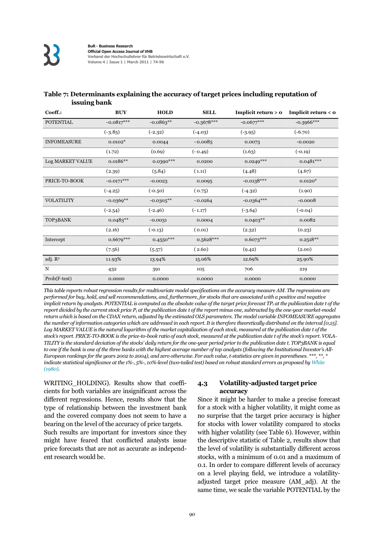| <b>ISSUING DANK</b> |              |              |              |                     |                     |
|---------------------|--------------|--------------|--------------|---------------------|---------------------|
| Coeff.:             | <b>BUY</b>   | <b>HOLD</b>  | <b>SELL</b>  | Implicit return > 0 | Implicit return < 0 |
| <b>POTENTIAL</b>    | $-0.0817***$ | $-0.0863**$  | $-0.3678***$ | $-0.0677***$        | $-0.3966***$        |
|                     | $(-3.85)$    | $(-2.32)$    | $(-4.03)$    | $(-3.95)$           | $(-6.70)$           |
| <b>INFOMEASURE</b>  | $0.0102*$    | 0.0044       | $-0.0085$    | 0.0073              | $-0.0020$           |
|                     | (1.72)       | (0.69)       | $(-0.49)$    | (1.63)              | $(-0.19)$           |
| Log MARKET VALUE    | $0.0186**$   | $0.0390***$  | 0.0200       | $0.0249***$         | $0.0481***$         |
|                     | (2.39)       | (5.84)       | (1.11)       | (4.48)              | (4.67)              |
| PRICE-TO-BOOK       | $-0.0171***$ | $-0.0023$    | 0.0095       | $-0.0138***$        | $0.0120*$           |
|                     | $(-4.25)$    | $(-0.50)$    | (0.75)       | $(-4.32)$           | (1.90)              |
| <b>VOLATILITY</b>   | $-0.0369**$  | $-0.0305***$ | $-0.0264$    | $-0.0364***$        | $-0.0008$           |
|                     | $(-2.54)$    | $(-2.46)$    | $(-1.17)$    | $(-3.64)$           | $(-0.04)$           |
| TOP3BANK            | $0.0483**$   | $-0.0031$    | 0.0004       | $0.0403**$          | 0.0082              |
|                     | (2.16)       | $(-0.13)$    | (0.01)       | (2.32)              | (0.23)              |
| Intercept           | $0.6679***$  | $0.4550***$  | 0.5628***    | $0.6073***$         | $0.2518**$          |
|                     | (7.56)       | (5.57)       | (2.60)       | (9.42)              | (2.00)              |
| adj. R <sup>2</sup> | 11.93%       | 13.94%       | 15.06%       | 12.69%              | 25.90%              |
| N                   | 432          | 391          | 105          | 706                 | 219                 |
| Prob(F-test)        | 0.0000       | 0.0000       | 0.0000       | 0.0000              | 0.0000              |

#### **Table 7: Determinants explaining the accuracy of target prices including reputation of issuing bank**

*This table reports robust regression results for multivariate model specifications on the accuracy measure AM. The regressions are performed for buy, hold, and sell recommendations, and, furthermore, for stocks that are associated with a positive and negative implicit return by analysts. POTENTIAL is computed as the absolute value of the target price forecast TP<sub>t</sub> at the publication date t of the report divided by the current stock price P<sub>t</sub> at the publication date t of the report minus one, subtracted by the one-year market-model return which is based on the CDAX return, adjusted by the estimated OLS parameters. The model variable INFOMEASURE aggregates the number of information categories which are addressed in each report. It is therefore theoretically distributed on the interval [0,15]. Log MARKET VALUE is the natural logarithm of the market capitalization of each stock, measured at the publication date t of the stock's report. PRICE-TO-BOOK is the price-to-book ratio of each stock, measured at the publication date t of the stock's report. VOLA-TILITY is the standard deviation of the stocks' daily return for the one-year period prior to the publication date t. TOP3BANK is equal to one if the bank is one of the three banks with the highest average number of top analysts (following the Institutional Investor's All-European rankings for the years 2002 to 2004), and zero otherwise. For each value, t-statistics are given in parentheses. \*\*\*, \*\*, \* indicate statistical significance at the 1%-, 5%-, 10%-level (two-tailed test) based on robust standard errors as proposed by White (1980).* 

WRITING\_HOLDING). Results show that coefficients for both variables are insignificant across the different regressions. Hence, results show that the type of relationship between the investment bank and the covered company does not seem to have a bearing on the level of the accuracy of price targets.

Such results are important for investors since they might have feared that conflicted analysts issue price forecasts that are not as accurate as independent research would be.

#### **4.3 Volatility-adjusted target price accuracy**

Since it might be harder to make a precise forecast for a stock with a higher volatility, it might come as no surprise that the target price accuracy is higher for stocks with lower volatility compared to stocks with higher volatility (see Table 6). However, within the descriptive statistic of Table 2, results show that the level of volatility is substantially different across stocks, with a minimum of 0.01 and a maximum of 0.1. In order to compare different levels of accuracy on a level playing field, we introduce a volatilityadjusted target price measure (AM\_adj). At the same time, we scale the variable POTENTIAL by the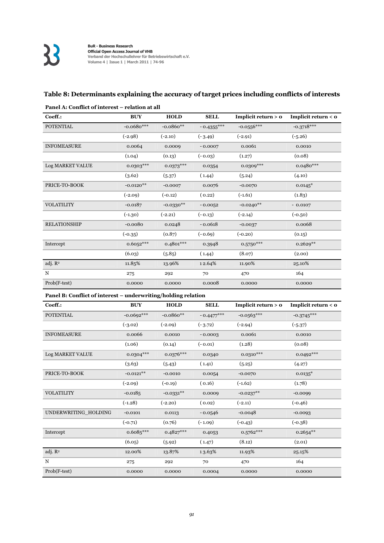### **Table 8: Determinants explaining the accuracy of target prices including conflicts of interests**

| Coeff.:             | <b>BUY</b>   | <b>HOLD</b> | <b>SELL</b>  | Implicit return > 0 | Implicit return < 0 |
|---------------------|--------------|-------------|--------------|---------------------|---------------------|
| <b>POTENTIAL</b>    | $-0.0680***$ | $-0.0860**$ | $-0.4355***$ | $-0.0556***$        | $-0.3718***$        |
|                     | $(-2.98)$    | $(-2.10)$   | $(-3.49)$    | $(-2.91)$           | $(-5.26)$           |
| <b>INFOMEASURE</b>  | 0.0064       | 0.0009      | $-0.0007$    | 0.0061              | 0.0010              |
|                     | (1.04)       | (0.13)      | $(-0.03)$    | (1.27)              | (0.08)              |
| Log MARKET VALUE    | $0.0303***$  | $0.0373***$ | 0.0354       | $0.0309***$         | $0.0480***$         |
|                     | (3.62)       | (5.37)      | (1.44)       | (5.24)              | (4.10)              |
| PRICE-TO-BOOK       | $-0.0120**$  | $-0.0007$   | 0.0076       | $-0.0070$           | $0.0145*$           |
|                     | $(-2.09)$    | $(-0.12)$   | (0.22)       | $(-1.61)$           | (1.83)              |
| <b>VOLATILITY</b>   | $-0.0187$    | $-0.0330**$ | $-0.0052$    | $-0.0240**$         | $-0.0107$           |
|                     | $(-1.30)$    | $(-2.21)$   | $(-0.13)$    | $(-2.14)$           | $(-0.50)$           |
| <b>RELATIONSHIP</b> | $-0.0080$    | 0.0248      | $-0.0618$    | $-0.0037$           | 0.0068              |
|                     | $(-0.35)$    | (0.87)      | $(-0.69)$    | $(-0.20)$           | (0.15)              |
| Intercept           | $0.6052***$  | $0.4801***$ | 0.3948       | $0.5750***$         | $0.2629**$          |
|                     | (6.03)       | (5.85)      | (1.44)       | (8.07)              | (2.00)              |
| adj. $R^2$          | 11.85%       | 13.96%      | 12.64%       | 11.90%              | 25.10%              |
| N                   | 275          | 292         | 70           | 470                 | 164                 |
| Prob(F-test)        | 0.0000       | 0.0000      | 0.0008       | 0.0000              | 0.0000              |

#### **Panel A: Conflict of interest – relation at all**

#### **Panel B: Conflict of interest – underwriting/holding relation**

| Coeff.:              | <b>BUY</b>   | <b>HOLD</b> | <b>SELL</b>  | Implicit return > 0 | <b>Implicit return <math>&lt;</math> 0</b> |
|----------------------|--------------|-------------|--------------|---------------------|--------------------------------------------|
| <b>POTENTIAL</b>     | $-0.0692***$ | $-0.0860**$ | $-0.4477***$ | $-0.0563***$        | $-0.3745***$                               |
|                      | $(-3.02)$    | $(-2.09)$   | $(-3.72)$    | $(-2.94)$           | $(-5.37)$                                  |
| <b>INFOMEASURE</b>   | 0.0066       | 0.0010      | $-0.0003$    | 0.0061              | 0.0010                                     |
|                      | (1.06)       | (0.14)      | $(-0.01)$    | (1.28)              | (0.08)                                     |
| Log MARKET VALUE     | $0.0304***$  | $0.0376***$ | 0.0340       | $0.0310***$         | $0.0492***$                                |
|                      | (3.63)       | (5.43)      | (1.41)       | (5.25)              | (4.27)                                     |
| PRICE-TO-BOOK        | $-0.0121**$  | $-0.0010$   | 0.0054       | $-0.0070$           | $0.0135*$                                  |
|                      | $(-2.09)$    | $(-0.19)$   | (0.16)       | $(-1.62)$           | (1.78)                                     |
| <b>VOLATILITY</b>    | $-0.0185$    | $-0.0331**$ | 0.0009       | $-0.0237**$         | $-0.0099$                                  |
|                      | $(-1.28)$    | $(-2.20)$   | (0.02)       | $(-2.11)$           | $(-0.46)$                                  |
| UNDERWRITING_HOLDING | $-0.0101$    | 0.0113      | $-0.0546$    | $-0.0048$           | $-0.0093$                                  |
|                      | $(-0.71)$    | (0.76)      | $(-1.09)$    | $(-0.43)$           | $(-0.38)$                                  |
| Intercept            | $0.6085***$  | $0.4827***$ | 0.4053       | $0.5762***$         | $0.2654***$                                |
|                      | (6.05)       | (5.92)      | (1.47)       | (8.12)              | (2.01)                                     |
| adj. R <sup>2</sup>  | 12.00%       | 13.87%      | 13.63%       | 11.93%              | 25.15%                                     |
| N                    | 275          | 292         | 70           | 470                 | 164                                        |
| $Prob(F-test)$       | 0.0000       | 0.0000      | 0.0004       | 0.0000              | 0.0000                                     |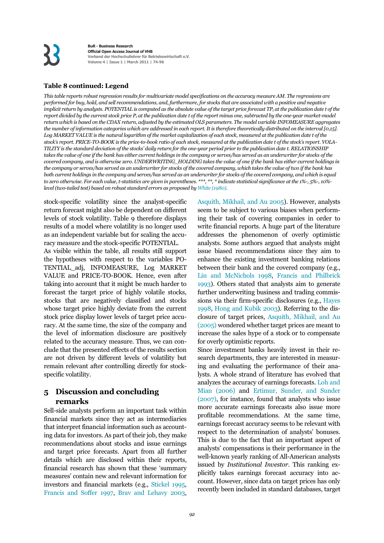#### **Table 8 continued: Legend**

*This table reports robust regression results for multivariate model specifications on the accuracy measure AM. The regressions are performed for buy, hold, and sell recommendations, and, furthermore, for stocks that are associated with a positive and negative implicit return by analysts. POTENTIAL is computed as the absolute value of the target price forecast TP<sub>t</sub> at the publication date t of the report divided by the current stock price P<sub>t</sub> at the publication date t of the report minus one, subtracted by the one-year market-model return which is based on the CDAX return, adjusted by the estimated OLS parameters. The model variable INFOMEASURE aggregates the number of information categories which are addressed in each report. It is therefore theoretically distributed on the interval [0,15]. Log MARKET VALUE is the natural logarithm of the market capitalization of each stock, measured at the publication date t of the stock's report. PRICE-TO-BOOK is the price-to-book ratio of each stock, measured at the publication date t of the stock's report. VOLA-TILITY is the standard deviation of the stocks' daily return for the one-year period prior to the publication date t. RELATIONSHIP*  takes the value of one if the bank has either current holdings in the company or serves/has served as an underwriter for stocks of the *covered company, and is otherwise zero. UNDERWRITING\_HOLDING takes the value of one if the bank has either current holdings in the company or serves/has served as an underwriter for stocks of the covered company, which takes the value of two if the bank has both current holdings in the company and serves/has served as an underwriter for stocks of the covered company, and which is equal to zero otherwise. For each value, t-statistics are given in parentheses. \*\*\*, \*\*, \* indicate statistical significance at the 1%-, 5%-, 10% level (two-tailed test) based on robust standard errors as proposed by White (1980).* 

stock-specific volatility since the analyst-specific return forecast might also be dependent on different levels of stock volatility. Table 9 therefore displays results of a model where volatility is no longer used as an independent variable but for scaling the accuracy measure and the stock-specific POTENTIAL.

As visible within the table, all results still support the hypotheses with respect to the variables PO-TENTIAL\_adj, INFOMEASURE, Log MARKET VALUE and PRICE-TO-BOOK. Hence, even after taking into account that it might be much harder to forecast the target price of highly volatile stocks, stocks that are negatively classified and stocks whose target price highly deviate from the current stock price display lower levels of target price accuracy. At the same time, the size of the company and the level of information disclosure are positively related to the accuracy measure. Thus, we can conclude that the presented effects of the results section are not driven by different levels of volatility but remain relevant after controlling directly for stockspecific volatility.

#### **5 Discussion and concluding remarks**

Sell-side analysts perform an important task within financial markets since they act as intermediaries that interpret financial information such as accounting data for investors. As part of their job, they make recommendations about stocks and issue earnings and target price forecasts. Apart from all further details which are disclosed within their reports, financial research has shown that these 'summary measures' contain new and relevant information for investors and financial markets (e.g., Stickel 1995, Francis and Soffer 1997, Brav and Lehavy 2003, Asquith, Mikhail, and Au 2005). However, analysts seem to be subject to various biases when performing their task of covering companies in order to write financial reports. A huge part of the literature addresses the phenomenon of overly optimistic analysts. Some authors argued that analysts might issue biased recommendations since they aim to enhance the existing investment banking relations between their bank and the covered company (e.g., Lin and McNichols 1998, Francis and Philbrick 1993). Others stated that analysts aim to generate further underwriting business and trading commissions via their firm-specific disclosures (e.g., Hayes 1998, Hong and Kubik 2003). Referring to the disclosure of target prices, Asquith, Mikhail, and Au (2005) wondered whether target prices are meant to increase the sales hype of a stock or to compensate for overly optimistic reports.

Since investment banks heavily invest in their research departments, they are interested in measuring and evaluating the performance of their analysts. A whole strand of literature has evolved that analyzes the accuracy of earnings forecasts. Loh and Mian (2006) and Ertimur, Sunder, and Sunder (2007), for instance, found that analysts who issue more accurate earnings forecasts also issue more profitable recommendations. At the same time, earnings forecast accuracy seems to be relevant with respect to the determination of analysts' bonuses. This is due to the fact that an important aspect of analysts' compensations is their performance in the well-known yearly ranking of All-American analysts issued by *Institutional Investor*. This ranking explicitly takes earnings forecast accuracy into account. However, since data on target prices has only recently been included in standard databases, target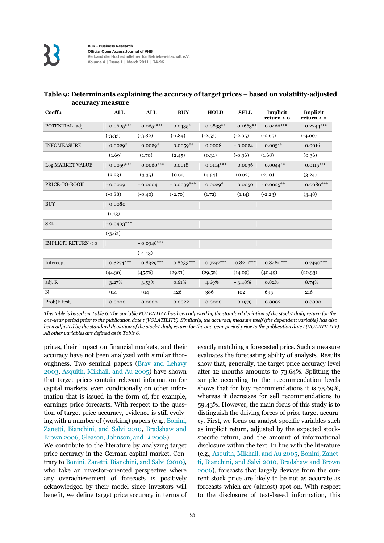| Coeff.:                       | <b>ALL</b>   | <b>ALL</b>   | <b>BUY</b>   | <b>HOLD</b> | <b>SELL</b> | Implicit<br>return > 0 | Implicit<br>return < 0 |
|-------------------------------|--------------|--------------|--------------|-------------|-------------|------------------------|------------------------|
| POTENTIAL adj                 | $-0.0605***$ | $-0.0651***$ | $-0.0435*$   | $-0.0833**$ | $-0.1663**$ | $-0.0466***$           | $-0.2244***$           |
|                               | $(-3.33)$    | $(-3.82)$    | $(-1.84)$    | $(-2.53)$   | $(-2.05)$   | $(-2.65)$              | $(-4.00)$              |
| <b>INFOMEASURE</b>            | $0.0029*$    | $0.0029*$    | $0.0059**$   | 0.0008      | $-0.0024$   | $0.0031*$              | 0.0016                 |
|                               | (1.69)       | (1.70)       | (2.45)       | (0.31)      | $(-0.36)$   | (1.68)                 | (0.36)                 |
| Log MARKET VALUE              | $0.0059***$  | $0.0060$ *** | 0.0018       | $0.0114***$ | 0.0036      | $0.0044**$             | $0.0115***$            |
|                               | (3.23)       | (3.35)       | (0.61)       | (4.54)      | (0.62)      | (2.10)                 | (3.24)                 |
| PRICE-TO-BOOK                 | $-0.0009$    | $-0.0004$    | $-0.0039***$ | $0.0029*$   | 0.0050      | $-0.0025**$            | $0.0080***$            |
|                               | $(-0.88)$    | $(-0.40)$    | $(-2.70)$    | (1.72)      | (1.14)      | $(-2.23)$              | (3.48)                 |
| <b>BUY</b>                    | 0.0080       |              |              |             |             |                        |                        |
|                               | (1.13)       |              |              |             |             |                        |                        |
| <b>SELL</b>                   | $-0.0403***$ |              |              |             |             |                        |                        |
|                               | $(-3.62)$    |              |              |             |             |                        |                        |
| <b>IMPLICIT RETURN &lt; 0</b> |              | $-0.0346***$ |              |             |             |                        |                        |
|                               |              | $(-4.43)$    |              |             |             |                        |                        |
| Intercept                     | $0.8274***$  | $0.8329***$  | $0.8633***$  | $0.7797***$ | $0.8211***$ | $0.8480***$            | $0.7490***$            |
|                               | (44.30)      | (45.76)      | (29.71)      | (29.52)     | (14.09)     | (40.49)                | (20.33)                |
| adj. R <sup>2</sup>           | 3.27%        | 3.53%        | 0.61%        | 4.69%       | $-3.48%$    | 0.82%                  | 8.74%                  |
| N                             | 914          | 914          | 426          | 386         | 102         | 695                    | 216                    |
| Prob(F-test)                  | 0.0000       | 0.0000       | 0.0022       | 0.0000      | 0.1979      | 0.0002                 | 0.0000                 |

#### **Table 9: Determinants explaining the accuracy of target prices – based on volatility-adjusted accuracy measure**

*This table is based on Table 6. The variable POTENTIAL has been adjusted by the standard deviation of the stocks' daily return for the one-year period prior to the publication date t (VOLATILITY). Similarly, the accuracy measure itself (the dependent variable) has also been adjusted by the standard deviation of the stocks' daily return for the one-year period prior to the publication date t (VOLATILITY). All other variables are defined as in Table 6.*

prices, their impact on financial markets, and their accuracy have not been analyzed with similar thoroughness. Two seminal papers (Brav and Lehavy 2003, Asquith, Mikhail, and Au 2005) have shown that target prices contain relevant information for capital markets, even conditionally on other information that is issued in the form of, for example, earnings price forecasts. With respect to the question of target price accuracy, evidence is still evolving with a number of (working) papers (e.g., Bonini, Zanetti, Bianchini, and Salvi 2010, Bradshaw and Brown 2006, Gleason, Johnson, and Li 2008).

We contribute to the literature by analyzing target price accuracy in the German capital market. Contrary to Bonini, Zanetti, Bianchini, and Salvi (2010), who take an investor-oriented perspective where any overachievement of forecasts is positively acknowledged by their model since investors will benefit, we define target price accuracy in terms of exactly matching a forecasted price. Such a measure evaluates the forecasting ability of analysts. Results show that, generally, the target price accuracy level after 12 months amounts to 73.64%. Splitting the sample according to the recommendation levels shows that for buy recommendations it is 75.69%, whereas it decreases for sell recommendations to 59.43%. However, the main focus of this study is to distinguish the driving forces of price target accuracy. First, we focus on analyst-specific variables such as implicit return, adjusted by the expected stockspecific return, and the amount of informational disclosure within the text. In line with the literature (e.g., Asquith, Mikhail, and Au 2005, Bonini, Zanetti, Bianchini, and Salvi 2010, Bradshaw and Brown 2006), forecasts that largely deviate from the current stock price are likely to be not as accurate as forecasts which are (almost) spot-on. With respect to the disclosure of text-based information, this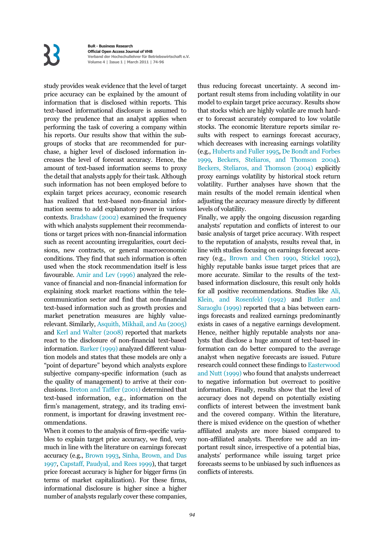## **K**

**BuR - Business Research Official Open Access Journal of VHB Verband der Hochschullehrer für Betriebswirtschaft e.V. Volume 4 | Issue 1 | March 2011 | 7-9**

study provides weak evidence that the level of target price accuracy can be explained by the amount of information that is disclosed within reports. This text-based informational disclosure is assumed to proxy the prudence that an analyst applies when performing the task of covering a company within his reports. Our results show that within the subgroups of stocks that are recommended for purchase, a higher level of disclosed information increases the level of forecast accuracy. Hence, the amount of text-based information seems to proxy the detail that analysts apply for their task. Although such information has not been employed before to explain target prices accuracy, economic research has realized that text-based non-financial information seems to add explanatory power in various contexts. Bradshaw (2002) examined the frequency with which analysts supplement their recommendations or target prices with non-financial information such as recent accounting irregularities, court decisions, new contracts, or general macroeconomic conditions. They find that such information is often used when the stock recommendation itself is less favourable. Amir and Lev (1996) analyzed the relevance of financial and non-financial information for explaining stock market reactions within the telecommunication sector and find that non-financial text-based information such as growth proxies and market penetration measures are highly valuerelevant. Similarly, Asquith, Mikhail, and Au (2005) and Kerl and Walter (2008) reported that markets react to the disclosure of non-financial text-based information. Barker (1999) analyzed different valuation models and states that these models are only a "point of departure" beyond which analysts explore subjective company-specific information (such as the quality of management) to arrive at their conclusions. Breton and Taffler (2001) determined that text-based information, e.g., information on the firm's management, strategy, and its trading environment, is important for drawing investment recommendations.

When it comes to the analysis of firm-specific variables to explain target price accuracy, we find, very much in line with the literature on earnings forecast accuracy (e.g., Brown 1993, Sinha, Brown, and Das 1997, Capstaff, Paudyal, and Rees 1999), that target price forecast accuracy is higher for bigger firms (in terms of market capitalization). For these firms, informational disclosure is higher since a higher number of analysts regularly cover these companies,

thus reducing forecast uncertainty. A second important result stems from including volatility in our model to explain target price accuracy. Results show that stocks which are highly volatile are much harder to forecast accurately compared to low volatile stocks. The economic literature reports similar results with respect to earnings forecast accuracy, which decreases with increasing earnings volatility (e.g., Huberts and Fuller 1995, De Bondt and Forbes 1999, Beckers, Steliaros, and Thomson 2004). Beckers, Steliaros, and Thomson (2004) explicitly proxy earnings volatility by historical stock return volatility. Further analyses have shown that the main results of the model remain identical when adjusting the accuracy measure directly by different levels of volatility.

Finally, we apply the ongoing discussion regarding analysts' reputation and conflicts of interest to our basic analysis of target price accuracy. With respect to the reputation of analysts, results reveal that, in line with studies focusing on earnings forecast accuracy (e.g., Brown and Chen 1990, Stickel 1992), highly reputable banks issue target prices that are more accurate. Similar to the results of the textbased information disclosure, this result only holds for all positive recommendations. Studies like Ali, Klein, and Rosenfeld (1992) and Butler and Saraoglu (1999) reported that a bias between earnings forecasts and realized earnings predominantly exists in cases of a negative earnings development. Hence, neither highly reputable analysts nor analysts that disclose a huge amount of text-based information can do better compared to the average analyst when negative forecasts are issued. Future research could connect these findings to Easterwood and Nutt (1999) who found that analysts underreact to negative information but overreact to positive information. Finally, results show that the level of accuracy does not depend on potentially existing conflicts of interest between the investment bank and the covered company. Within the literature, there is mixed evidence on the question of whether affiliated analysts are more biased compared to non-affiliated analysts. Therefore we add an important result since, irrespective of a potential bias, analysts' performance while issuing target price forecasts seems to be unbiased by such influences as conflicts of interests.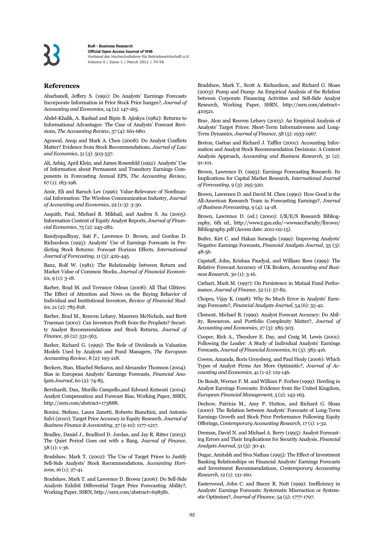#### **References**

Abarbanell, Jeffery S. (1991): Do Analysts' Earnings Forecasts Incorporate Information in Prior Stock Price hanges*?, Journal of Accounting and Economics*, 14 (2): 147-165.

Abdel-Khalik, A. Rashad and Bipin B. Ajinkya (1982): Returns to Informational Advantages: The Case of Analysts' Forecast Revisions, *The Accounting Review*, 57 (4): 661-680.

Agrawal, Anup and Mark A. Chen (2008): Do Analyst Conflicts Matter? Evidence from Stock Recommendations, *Journal of Law and Economics*, 51 (3): 503-537.

Ali, Ashiq, April Klein, and James Rosenfeld (1992): Analysts' Use of Information about Permanent and Transitory Earnings Components in Forecasting Annual EPS, *The Accounting Review*, 67 (1): 183-198.

Amir, Eli and Baruch Lev (1996): Value-Relevance of Nonfinancial Information: The Wireless Communication Industry, *Journal of Accounting and Economics*, 22 (1-3): 3-30.

Asquith, Paul, Michael B. Mikhail, and Andrea S. Au (2005): Information Content of Equity Analyst Reports, *Journal of Financial Economics*, 75 (2): 245-282.

Bandyopadhyay, Sati P., Lawrence D. Brown, and Gordon D. Richardson (1995): Analysts' Use of Earnings Forecasts in Predicting Stock Returns: Forecast Horizon Effects, *International Journal of Forecasting*, 11 (3): 429-445.

Banz, Rolf W. (1981): The Relationship between Return and Market Value of Common Stocks, *Journal of Financial Economics*, 9 (1): 3-18.

Barber, Brad M. and Terrance Odean (2008): All That Glitters: The Effect of Attention and News on the Buying Behavior of Individual and Institutional Investors, *Review of Financial Studies*, 21 (2): 785-818.

Barber, Brad M., Reuven Lehavy, Maureen McNichols, and Brett Trueman (2001): Can Investors Profit from the Prophets? Security Analyst Recommendations and Stock Returns, *Journal of Finance*, 56 (2): 531-563.

Barker, Richard G. (1999): The Role of Dividends in Valuation Models Used by Analysts and Fund Managers, *The European Accounting Review*, 8 (2): 195-218.

Beckers, Stan, Miachel Steliaros, and Alexander Thomson (2004): Bias in European Analysts' Earnings Forecasts, *Financial Analysts Journal*, 60 (2): 74-85.

Bernhardt, Dan, Murillo Campello,and Edward Kutsoati (2004): Analyst Compensation and Forecast Bias, Working Paper, SSRN, http://ssrn.com/abstract=173888.

Bonini, Stefano, Laura Zanetti, Roberto Bianchini, and Antonio Salvi (2010): Target Price Accuracy in Equity Research, *Journal of Business Finance & Accounting*, 37 (9-10): 1177-1217.

Bradley, Daniel J., Bradford D. Jordan, and Jay R. Ritter (2003): The Quiet Period Goes out with a Bang, *Journal of Finance*, 58 (1): 1-36.

Bradshaw, Mark T. (2002): The Use of Target Prices to Justify Sell-Side Analysts' Stock Recommendations, *Accounting Horizons*, 16 (1): 27-41.

Bradshaw, Mark T. and Lawrence D. Brown (2006): Do Sell-Side Analysts Exhibit Differential Target Price Forecasting Ability?, Working Paper, SSRN, http://ssrn.com/abstract=698581.

Bradshaw, Mark T., Scott A. Richardson, and Richard G. Sloan (2003): Pump and Dump: An Empirical Analysis of the Relation between Corporate Financing Activities and Sell-Side Analyst Research, Working Paper, SSRN, http://ssrn.com/abstract= 410521.

Brav, Alon and Reuven Lehavy (2003): An Empirical Analysis of Analysts' Target Prices: Short-Term Informativeness and Long-Term Dynamics, *Journal of Finance*, 58 (5): 1933-1967.

Breton, Gaétan and Richard J. Taffler (2001): Accounting Information and Analyst Stock Recommendation Decisions: A Content Analysis Approach, *Accounting and Business Research*, 31 (2): 91-101.

Brown, Lawrence D. (1993): Earnings Forecasting Research: Its Implications for Capital Market Research, *International Journal of Forecasting*, 9 (3): 295-320.

Brown, Lawrence D. and David M. Chen (1990): How Good is the All-American Research Team in Forecasting Earnings?, *Journal of Business Forecasting*, 9 (4): 14-18.

Brown, Lawrence D. (ed.) (2000): I/B/E/S Research Bibliography, 6th ed., http://www2.gsu.edu/~wwwaccFaculty/lbrown/ Bibliography.pdf (Access date: 2011-02-15).

Butler, Kirt C. and Hakan Saraoglu (1999): Improving Analysts' Negative Earnings Forecasts, *Financial Analysts Journal*, 55 (3): 48-56.

Capstaff, John, Krishna Paudyal, and William Rees (1999): The Relative Forecast Accuracy of UK Brokers, *Accounting and Business Research*, 30 (1): 3-16.

Carhart, Mark M. (1997): On Persistence in Mutual Fund Performance, *Journal of Finance*, 52 (1): 57-82.

Chopra, Vijay K. (1998): Why So Much Error in Analysts' Earnings Forecasts?, *Financial Analysts Journal*, 54 (6): 35-42.

Clement, Michael B. (1999): Analyst Forecast Accuracy: Do Ability, Resources, and Portfolio Complexity Matter?, *Journal of Accounting and Economics*, 27 (3): 285-303.

Cooper, Rick A., Theodore E. Day, and Craig M. Lewis (2001): Following the Leader: A Study of Individual Analysts' Earnings Forecasts, *Journal of Financial Economics*, 61 (3): 383-416.

Cowen, Amanda, Boris Groysberg, and Paul Healy (2006): Which Types of Analyst Firms Are More Optimistic?, *Journal of Accounting and Economics*, 41 (1-2): 119-146.

De Bondt, Werner F. M. and William P. Forbes (1999): Herding in Analyst Earnings Forecasts: Evidence from the United Kingdom, *European Financial Management*, 5 (2): 143-163.

Dechow, Patricia M., Amy P. Hutton, and Richard G. Sloan (2000): The Relation between Analysts' Forecasts of Long-Term Earnings Growth and Stock Price Performance Following Equity Offerings, *Contemporary Accounting Research*, 17 (1): 1-32.

Dreman, David N. and Michael A. Berry (1995): Analyst Forecasting Errors and Their Implications for Security Analysis, *Financial Analysts Journal*, 51 (3): 30-41.

Dugar, Amitabh and Siva Nathan (1995): The Effect of Investment Banking Relationships on Financial Analysts' Earnings Forecasts and Investment Recommendations, *Contemporary Accounting Research*, 12 (1): 131-160.

Easterwood, John C. and Stacey R. Nutt (1999): Inefficiency in Analysts' Earnings Forecasts: Systematic Misreaction or Systematic Optimism?, *Journal of Finance*, 54 (5): 1777-1797.